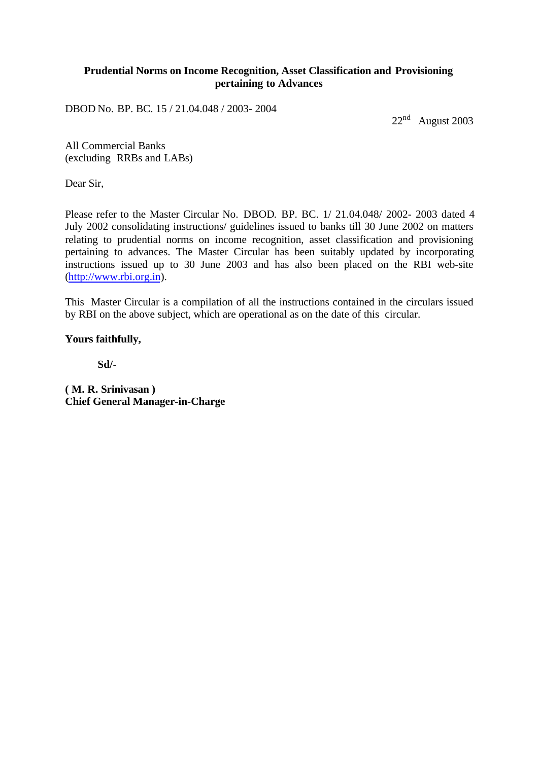## **Prudential Norms on Income Recognition, Asset Classification and Provisioning pertaining to Advances**

DBOD No. BP. BC. 15 / 21.04.048 / 2003- 2004

22nd August 2003

All Commercial Banks (excluding RRBs and LABs)

Dear Sir,

Please refer to the Master Circular No. DBOD. BP. BC. 1/ 21.04.048/ 2002- 2003 dated 4 July 2002 consolidating instructions/ guidelines issued to banks till 30 June 2002 on matters relating to prudential norms on income recognition, asset classification and provisioning pertaining to advances. The Master Circular has been suitably updated by incorporating instructions issued up to 30 June 2003 and has also been placed on the RBI web-site (http://www.rbi.org.in).

This Master Circular is a compilation of all the instructions contained in the circulars issued by RBI on the above subject, which are operational as on the date of this circular.

## **Yours faithfully,**

**Sd/-**

**( M. R. Srinivasan ) Chief General Manager-in-Charge**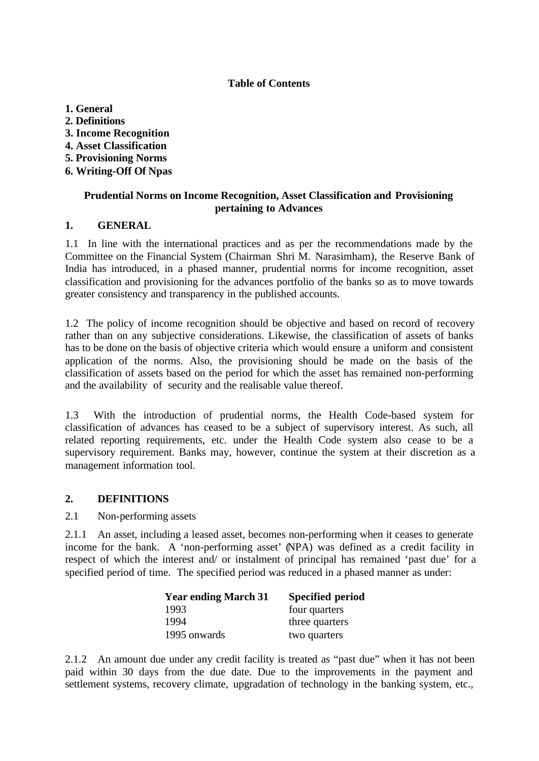## **Table of Contents**

## **1. General**

- **2. Definitions**
- **3. Income Recognition**
- **4. Asset Classification**
- **5. Provisioning Norms**
- **6. Writing-Off Of Npas**

## **Prudential Norms on Income Recognition, Asset Classification and Provisioning pertaining to Advances**

## **1. GENERAL**

1.1 In line with the international practices and as per the recommendations made by the Committee on the Financial System (Chairman Shri M. Narasimham), the Reserve Bank of India has introduced, in a phased manner, prudential norms for income recognition, asset classification and provisioning for the advances portfolio of the banks so as to move towards greater consistency and transparency in the published accounts.

1.2 The policy of income recognition should be objective and based on record of recovery rather than on any subjective considerations. Likewise, the classification of assets of banks has to be done on the basis of objective criteria which would ensure a uniform and consistent application of the norms. Also, the provisioning should be made on the basis of the classification of assets based on the period for which the asset has remained non-performing and the availability of security and the realisable value thereof.

1.3 With the introduction of prudential norms, the Health Code-based system for classification of advances has ceased to be a subject of supervisory interest. As such, all related reporting requirements, etc. under the Health Code system also cease to be a supervisory requirement. Banks may, however, continue the system at their discretion as a management information tool.

## **2. DEFINITIONS**

2.1 Non-performing assets

2.1.1 An asset, including a leased asset, becomes non-performing when it ceases to generate income for the bank. A 'non-performing asset' (NPA) was defined as a credit facility in respect of which the interest and/ or instalment of principal has remained 'past due' for a specified period of time. The specified period was reduced in a phased manner as under:

| <b>Year ending March 31</b> | <b>Specified period</b> |
|-----------------------------|-------------------------|
| 1993                        | four quarters           |
| 1994                        | three quarters          |
| 1995 onwards                | two quarters            |

2.1.2 An amount due under any credit facility is treated as "past due" when it has not been paid within 30 days from the due date. Due to the improvements in the payment and settlement systems, recovery climate, upgradation of technology in the banking system, etc.,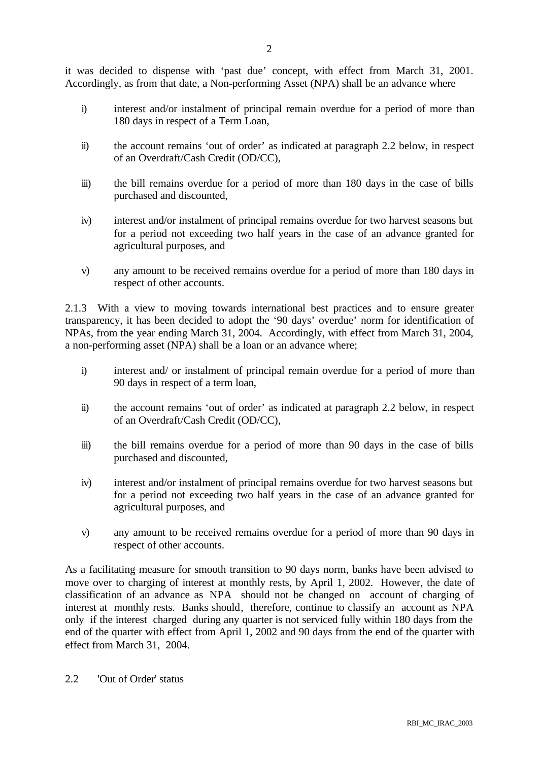it was decided to dispense with 'past due' concept, with effect from March 31, 2001. Accordingly, as from that date, a Non-performing Asset (NPA) shall be an advance where

- i) interest and/or instalment of principal remain overdue for a period of more than 180 days in respect of a Term Loan,
- ii) the account remains 'out of order' as indicated at paragraph 2.2 below, in respect of an Overdraft/Cash Credit (OD/CC),
- iii) the bill remains overdue for a period of more than 180 days in the case of bills purchased and discounted,
- iv) interest and/or instalment of principal remains overdue for two harvest seasons but for a period not exceeding two half years in the case of an advance granted for agricultural purposes, and
- v) any amount to be received remains overdue for a period of more than 180 days in respect of other accounts.

2.1.3 With a view to moving towards international best practices and to ensure greater transparency, it has been decided to adopt the '90 days' overdue' norm for identification of NPAs, from the year ending March 31, 2004. Accordingly, with effect from March 31, 2004, a non-performing asset (NPA) shall be a loan or an advance where;

- i) interest and/ or instalment of principal remain overdue for a period of more than 90 days in respect of a term loan,
- ii) the account remains 'out of order' as indicated at paragraph 2.2 below, in respect of an Overdraft/Cash Credit (OD/CC),
- iii) the bill remains overdue for a period of more than 90 days in the case of bills purchased and discounted,
- iv) interest and/or instalment of principal remains overdue for two harvest seasons but for a period not exceeding two half years in the case of an advance granted for agricultural purposes, and
- v) any amount to be received remains overdue for a period of more than 90 days in respect of other accounts.

As a facilitating measure for smooth transition to 90 days norm, banks have been advised to move over to charging of interest at monthly rests, by April 1, 2002. However, the date of classification of an advance as NPA should not be changed on account of charging of interest at monthly rests. Banks should, therefore, continue to classify an account as NPA only if the interest charged during any quarter is not serviced fully within 180 days from the end of the quarter with effect from April 1, 2002 and 90 days from the end of the quarter with effect from March 31, 2004.

2.2 'Out of Order' status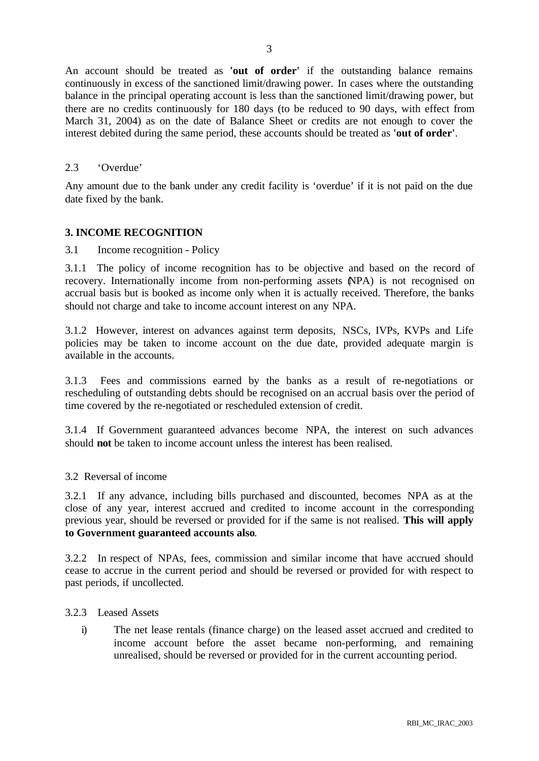An account should be treated as **'out of order'** if the outstanding balance remains continuously in excess of the sanctioned limit/drawing power. In cases where the outstanding balance in the principal operating account is less than the sanctioned limit/drawing power, but there are no credits continuously for 180 days (to be reduced to 90 days, with effect from March 31, 2004) as on the date of Balance Sheet or credits are not enough to cover the interest debited during the same period, these accounts should be treated as **'out of order'**.

## 2.3 'Overdue'

Any amount due to the bank under any credit facility is 'overdue' if it is not paid on the due date fixed by the bank.

#### **3. INCOME RECOGNITION**

3.1 Income recognition - Policy

3.1.1 The policy of income recognition has to be objective and based on the record of recovery. Internationally income from non-performing assets (NPA) is not recognised on accrual basis but is booked as income only when it is actually received. Therefore, the banks should not charge and take to income account interest on any NPA.

3.1.2 However, interest on advances against term deposits, NSCs, IVPs, KVPs and Life policies may be taken to income account on the due date, provided adequate margin is available in the accounts.

3.1.3 Fees and commissions earned by the banks as a result of re-negotiations or rescheduling of outstanding debts should be recognised on an accrual basis over the period of time covered by the re-negotiated or rescheduled extension of credit.

3.1.4 If Government guaranteed advances become NPA, the interest on such advances should **not** be taken to income account unless the interest has been realised.

#### 3.2 Reversal of income

3.2.1 If any advance, including bills purchased and discounted, becomes NPA as at the close of any year, interest accrued and credited to income account in the corresponding previous year, should be reversed or provided for if the same is not realised. **This will apply to Government guaranteed accounts also**.

3.2.2 In respect of NPAs, fees, commission and similar income that have accrued should cease to accrue in the current period and should be reversed or provided for with respect to past periods, if uncollected.

#### 3.2.3 Leased Assets

i) The net lease rentals (finance charge) on the leased asset accrued and credited to income account before the asset became non-performing, and remaining unrealised, should be reversed or provided for in the current accounting period.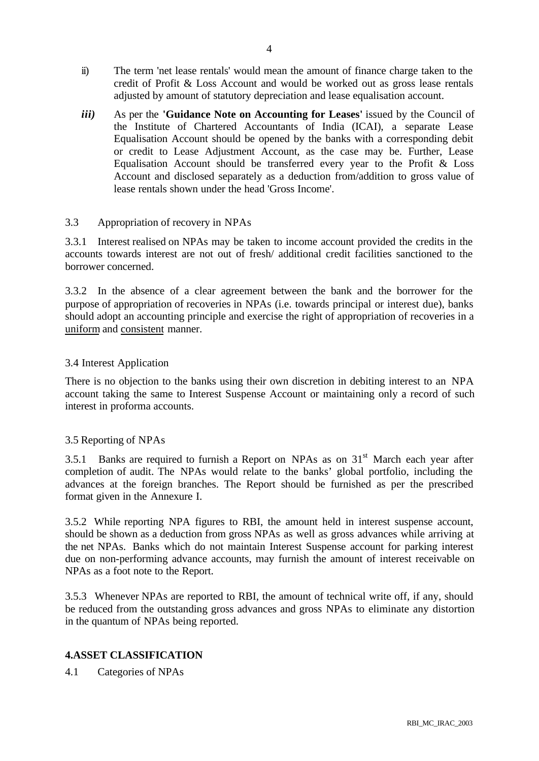- ii) The term 'net lease rentals' would mean the amount of finance charge taken to the credit of Profit & Loss Account and would be worked out as gross lease rentals adjusted by amount of statutory depreciation and lease equalisation account.
- *iii)* As per the **'Guidance Note on Accounting for Leases'** issued by the Council of the Institute of Chartered Accountants of India (ICAI), a separate Lease Equalisation Account should be opened by the banks with a corresponding debit or credit to Lease Adjustment Account, as the case may be. Further, Lease Equalisation Account should be transferred every year to the Profit & Loss Account and disclosed separately as a deduction from/addition to gross value of lease rentals shown under the head 'Gross Income'.

## 3.3 Appropriation of recovery in NPAs

3.3.1 Interest realised on NPAs may be taken to income account provided the credits in the accounts towards interest are not out of fresh/ additional credit facilities sanctioned to the borrower concerned.

3.3.2 In the absence of a clear agreement between the bank and the borrower for the purpose of appropriation of recoveries in NPAs (i.e. towards principal or interest due), banks should adopt an accounting principle and exercise the right of appropriation of recoveries in a uniform and consistent manner.

#### 3.4 Interest Application

There is no objection to the banks using their own discretion in debiting interest to an NPA account taking the same to Interest Suspense Account or maintaining only a record of such interest in proforma accounts.

## 3.5 Reporting of NPAs

3.5.1 Banks are required to furnish a Report on NPAs as on  $31<sup>st</sup>$  March each year after completion of audit. The NPAs would relate to the banks' global portfolio, including the advances at the foreign branches. The Report should be furnished as per the prescribed format given in the Annexure I.

3.5.2 While reporting NPA figures to RBI, the amount held in interest suspense account, should be shown as a deduction from gross NPAs as well as gross advances while arriving at the net NPAs. Banks which do not maintain Interest Suspense account for parking interest due on non-performing advance accounts, may furnish the amount of interest receivable on NPAs as a foot note to the Report.

3.5.3 Whenever NPAs are reported to RBI, the amount of technical write off, if any, should be reduced from the outstanding gross advances and gross NPAs to eliminate any distortion in the quantum of NPAs being reported.

## **4.ASSET CLASSIFICATION**

4.1 Categories of NPAs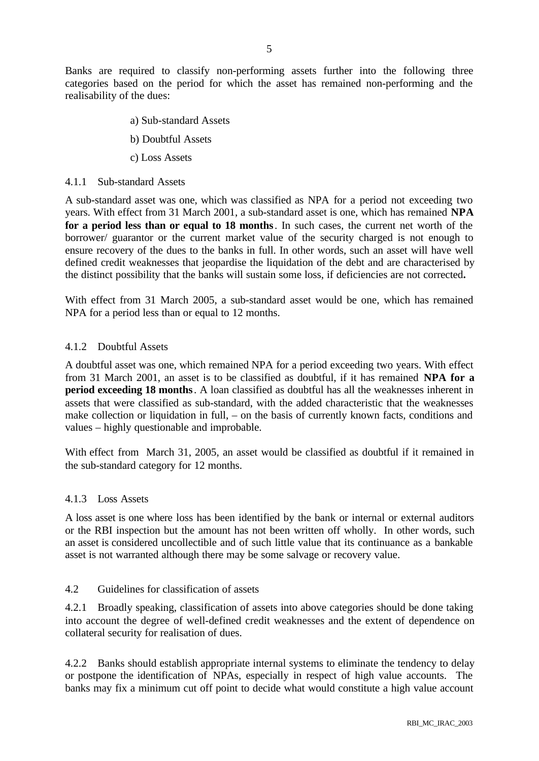Banks are required to classify non-performing assets further into the following three categories based on the period for which the asset has remained non-performing and the realisability of the dues:

- a) Sub-standard Assets
- b) Doubtful Assets
- c) Loss Assets

#### 4.1.1 Sub-standard Assets

A sub-standard asset was one, which was classified as NPA for a period not exceeding two years. With effect from 31 March 2001, a sub-standard asset is one, which has remained **NPA for a period less than or equal to 18 months**. In such cases, the current net worth of the borrower/ guarantor or the current market value of the security charged is not enough to ensure recovery of the dues to the banks in full. In other words, such an asset will have well defined credit weaknesses that jeopardise the liquidation of the debt and are characterised by the distinct possibility that the banks will sustain some loss, if deficiencies are not corrected**.**

With effect from 31 March 2005, a sub-standard asset would be one, which has remained NPA for a period less than or equal to 12 months.

#### 4.1.2 Doubtful Assets

A doubtful asset was one, which remained NPA for a period exceeding two years. With effect from 31 March 2001, an asset is to be classified as doubtful, if it has remained **NPA for a period exceeding 18 months**. A loan classified as doubtful has all the weaknesses inherent in assets that were classified as sub-standard, with the added characteristic that the weaknesses make collection or liquidation in full, – on the basis of currently known facts, conditions and values – highly questionable and improbable.

With effect from March 31, 2005, an asset would be classified as doubtful if it remained in the sub-standard category for 12 months.

#### 4.1.3 Loss Assets

A loss asset is one where loss has been identified by the bank or internal or external auditors or the RBI inspection but the amount has not been written off wholly. In other words, such an asset is considered uncollectible and of such little value that its continuance as a bankable asset is not warranted although there may be some salvage or recovery value.

## 4.2 Guidelines for classification of assets

4.2.1 Broadly speaking, classification of assets into above categories should be done taking into account the degree of well-defined credit weaknesses and the extent of dependence on collateral security for realisation of dues.

4.2.2 Banks should establish appropriate internal systems to eliminate the tendency to delay or postpone the identification of NPAs, especially in respect of high value accounts. The banks may fix a minimum cut off point to decide what would constitute a high value account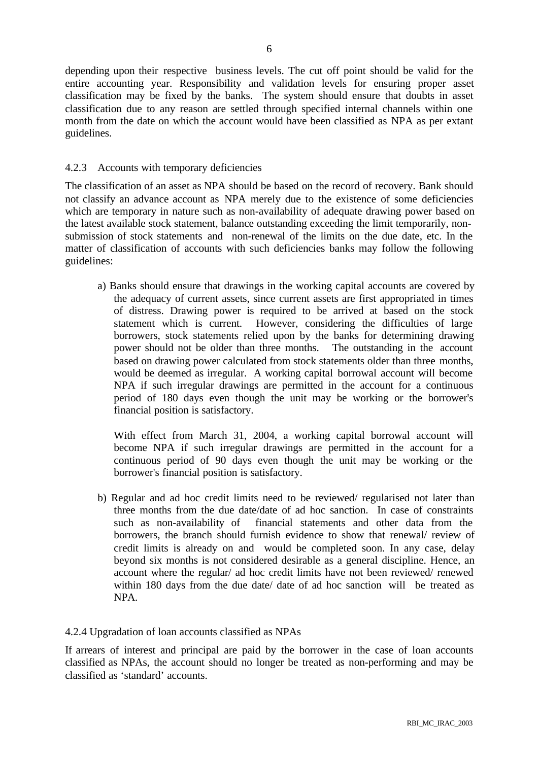depending upon their respective business levels. The cut off point should be valid for the entire accounting year. Responsibility and validation levels for ensuring proper asset classification may be fixed by the banks. The system should ensure that doubts in asset classification due to any reason are settled through specified internal channels within one month from the date on which the account would have been classified as NPA as per extant guidelines.

## 4.2.3 Accounts with temporary deficiencies

The classification of an asset as NPA should be based on the record of recovery. Bank should not classify an advance account as NPA merely due to the existence of some deficiencies which are temporary in nature such as non-availability of adequate drawing power based on the latest available stock statement, balance outstanding exceeding the limit temporarily, nonsubmission of stock statements and non-renewal of the limits on the due date, etc. In the matter of classification of accounts with such deficiencies banks may follow the following guidelines:

a) Banks should ensure that drawings in the working capital accounts are covered by the adequacy of current assets, since current assets are first appropriated in times of distress. Drawing power is required to be arrived at based on the stock statement which is current. However, considering the difficulties of large borrowers, stock statements relied upon by the banks for determining drawing power should not be older than three months. The outstanding in the account based on drawing power calculated from stock statements older than three months, would be deemed as irregular. A working capital borrowal account will become NPA if such irregular drawings are permitted in the account for a continuous period of 180 days even though the unit may be working or the borrower's financial position is satisfactory.

With effect from March 31, 2004, a working capital borrowal account will become NPA if such irregular drawings are permitted in the account for a continuous period of 90 days even though the unit may be working or the borrower's financial position is satisfactory.

b) Regular and ad hoc credit limits need to be reviewed/ regularised not later than three months from the due date/date of ad hoc sanction. In case of constraints such as non-availability of financial statements and other data from the borrowers, the branch should furnish evidence to show that renewal/ review of credit limits is already on and would be completed soon. In any case, delay beyond six months is not considered desirable as a general discipline. Hence, an account where the regular/ ad hoc credit limits have not been reviewed/ renewed within 180 days from the due date/ date of ad hoc sanction will be treated as NPA.

## 4.2.4 Upgradation of loan accounts classified as NPAs

If arrears of interest and principal are paid by the borrower in the case of loan accounts classified as NPAs, the account should no longer be treated as non-performing and may be classified as 'standard' accounts.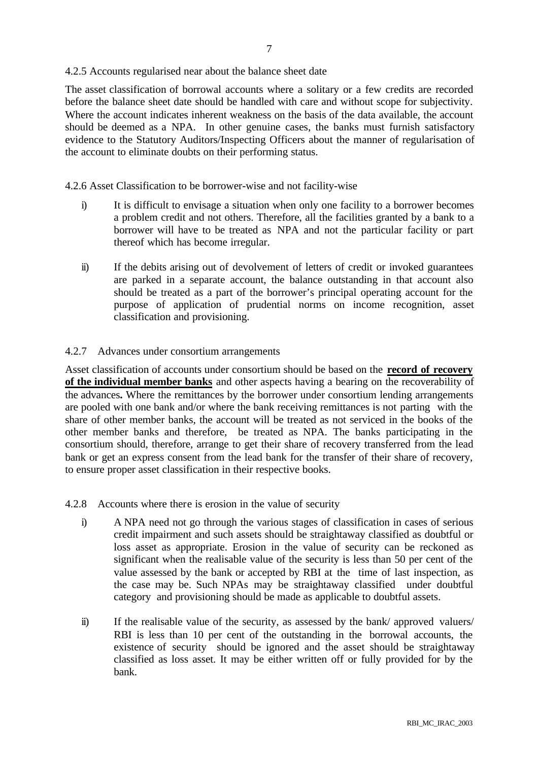#### 4.2.5 Accounts regularised near about the balance sheet date

The asset classification of borrowal accounts where a solitary or a few credits are recorded before the balance sheet date should be handled with care and without scope for subjectivity. Where the account indicates inherent weakness on the basis of the data available, the account should be deemed as a NPA. In other genuine cases, the banks must furnish satisfactory evidence to the Statutory Auditors/Inspecting Officers about the manner of regularisation of the account to eliminate doubts on their performing status.

#### 4.2.6 Asset Classification to be borrower-wise and not facility-wise

- i) It is difficult to envisage a situation when only one facility to a borrower becomes a problem credit and not others. Therefore, all the facilities granted by a bank to a borrower will have to be treated as NPA and not the particular facility or part thereof which has become irregular.
- ii) If the debits arising out of devolvement of letters of credit or invoked guarantees are parked in a separate account, the balance outstanding in that account also should be treated as a part of the borrower's principal operating account for the purpose of application of prudential norms on income recognition, asset classification and provisioning.

#### 4.2.7 Advances under consortium arrangements

Asset classification of accounts under consortium should be based on the **record of recovery of the individual member banks** and other aspects having a bearing on the recoverability of the advances**.** Where the remittances by the borrower under consortium lending arrangements are pooled with one bank and/or where the bank receiving remittances is not parting with the share of other member banks, the account will be treated as not serviced in the books of the other member banks and therefore, be treated as NPA. The banks participating in the consortium should, therefore, arrange to get their share of recovery transferred from the lead bank or get an express consent from the lead bank for the transfer of their share of recovery, to ensure proper asset classification in their respective books.

#### 4.2.8 Accounts where there is erosion in the value of security

- i) A NPA need not go through the various stages of classification in cases of serious credit impairment and such assets should be straightaway classified as doubtful or loss asset as appropriate. Erosion in the value of security can be reckoned as significant when the realisable value of the security is less than 50 per cent of the value assessed by the bank or accepted by RBI at the time of last inspection, as the case may be. Such NPAs may be straightaway classified under doubtful category and provisioning should be made as applicable to doubtful assets.
- ii) If the realisable value of the security, as assessed by the bank/ approved valuers/ RBI is less than 10 per cent of the outstanding in the borrowal accounts, the existence of security should be ignored and the asset should be straightaway classified as loss asset. It may be either written off or fully provided for by the bank.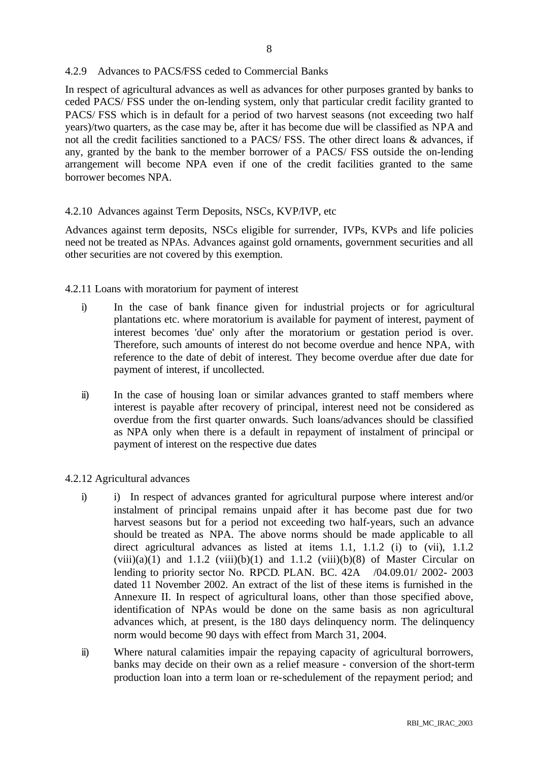## 4.2.9 Advances to PACS/FSS ceded to Commercial Banks

In respect of agricultural advances as well as advances for other purposes granted by banks to ceded PACS/ FSS under the on-lending system, only that particular credit facility granted to PACS/ FSS which is in default for a period of two harvest seasons (not exceeding two half years)/two quarters, as the case may be, after it has become due will be classified as NPA and not all the credit facilities sanctioned to a PACS/ FSS. The other direct loans & advances, if any, granted by the bank to the member borrower of a PACS/ FSS outside the on-lending arrangement will become NPA even if one of the credit facilities granted to the same borrower becomes NPA.

## 4.2.10 Advances against Term Deposits, NSCs, KVP/IVP, etc

Advances against term deposits, NSCs eligible for surrender, IVPs, KVPs and life policies need not be treated as NPAs. Advances against gold ornaments, government securities and all other securities are not covered by this exemption.

#### 4.2.11 Loans with moratorium for payment of interest

- i) In the case of bank finance given for industrial projects or for agricultural plantations etc. where moratorium is available for payment of interest, payment of interest becomes 'due' only after the moratorium or gestation period is over. Therefore, such amounts of interest do not become overdue and hence NPA, with reference to the date of debit of interest. They become overdue after due date for payment of interest, if uncollected.
- ii) In the case of housing loan or similar advances granted to staff members where interest is payable after recovery of principal, interest need not be considered as overdue from the first quarter onwards. Such loans/advances should be classified as NPA only when there is a default in repayment of instalment of principal or payment of interest on the respective due dates

## 4.2.12 Agricultural advances

- i) i) In respect of advances granted for agricultural purpose where interest and/or instalment of principal remains unpaid after it has become past due for two harvest seasons but for a period not exceeding two half-years, such an advance should be treated as NPA. The above norms should be made applicable to all direct agricultural advances as listed at items 1.1, 1.1.2 (i) to (vii), 1.1.2  $(viii)(a)(1)$  and  $1.1.2$   $(viii)(b)(1)$  and  $1.1.2$   $(viii)(b)(8)$  of Master Circular on lending to priority sector No. RPCD. PLAN. BC. 42A /04.09.01/ 2002- 2003 dated 11 November 2002. An extract of the list of these items is furnished in the Annexure II. In respect of agricultural loans, other than those specified above, identification of NPAs would be done on the same basis as non agricultural advances which, at present, is the 180 days delinquency norm. The delinquency norm would become 90 days with effect from March 31, 2004.
- ii) Where natural calamities impair the repaying capacity of agricultural borrowers, banks may decide on their own as a relief measure - conversion of the short-term production loan into a term loan or re-schedulement of the repayment period; and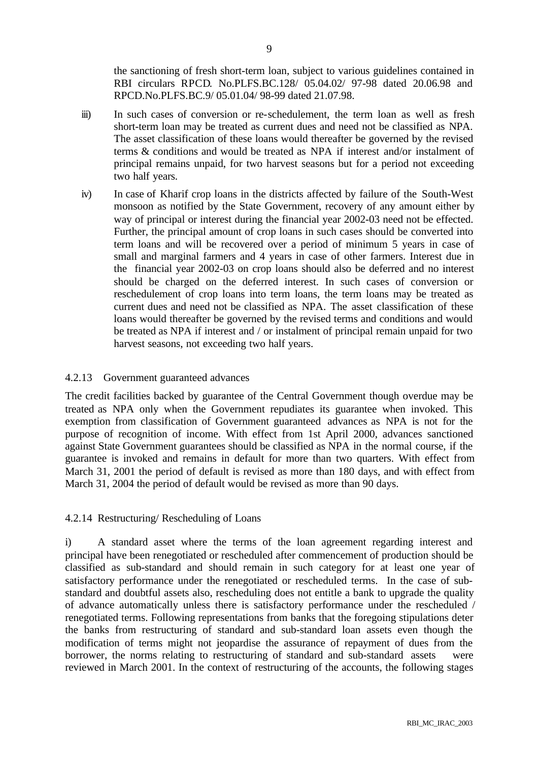the sanctioning of fresh short-term loan, subject to various guidelines contained in RBI circulars RPCD. No.PLFS.BC.128/ 05.04.02/ 97-98 dated 20.06.98 and RPCD.No.PLFS.BC.9/ 05.01.04/ 98-99 dated 21.07.98.

- iii) In such cases of conversion or re-schedulement, the term loan as well as fresh short-term loan may be treated as current dues and need not be classified as NPA. The asset classification of these loans would thereafter be governed by the revised terms & conditions and would be treated as NPA if interest and/or instalment of principal remains unpaid, for two harvest seasons but for a period not exceeding two half years.
- iv) In case of Kharif crop loans in the districts affected by failure of the South-West monsoon as notified by the State Government, recovery of any amount either by way of principal or interest during the financial year 2002-03 need not be effected. Further, the principal amount of crop loans in such cases should be converted into term loans and will be recovered over a period of minimum 5 years in case of small and marginal farmers and 4 years in case of other farmers. Interest due in the financial year 2002-03 on crop loans should also be deferred and no interest should be charged on the deferred interest. In such cases of conversion or reschedulement of crop loans into term loans, the term loans may be treated as current dues and need not be classified as NPA. The asset classification of these loans would thereafter be governed by the revised terms and conditions and would be treated as NPA if interest and / or instalment of principal remain unpaid for two harvest seasons, not exceeding two half years.

#### 4.2.13 Government guaranteed advances

The credit facilities backed by guarantee of the Central Government though overdue may be treated as NPA only when the Government repudiates its guarantee when invoked. This exemption from classification of Government guaranteed advances as NPA is not for the purpose of recognition of income. With effect from 1st April 2000, advances sanctioned against State Government guarantees should be classified as NPA in the normal course, if the guarantee is invoked and remains in default for more than two quarters. With effect from March 31, 2001 the period of default is revised as more than 180 days, and with effect from March 31, 2004 the period of default would be revised as more than 90 days.

## 4.2.14Restructuring/ Rescheduling of Loans

i) A standard asset where the terms of the loan agreement regarding interest and principal have been renegotiated or rescheduled after commencement of production should be classified as sub-standard and should remain in such category for at least one year of satisfactory performance under the renegotiated or rescheduled terms. In the case of substandard and doubtful assets also, rescheduling does not entitle a bank to upgrade the quality of advance automatically unless there is satisfactory performance under the rescheduled / renegotiated terms. Following representations from banks that the foregoing stipulations deter the banks from restructuring of standard and sub-standard loan assets even though the modification of terms might not jeopardise the assurance of repayment of dues from the borrower, the norms relating to restructuring of standard and sub-standard assets were reviewed in March 2001. In the context of restructuring of the accounts, the following stages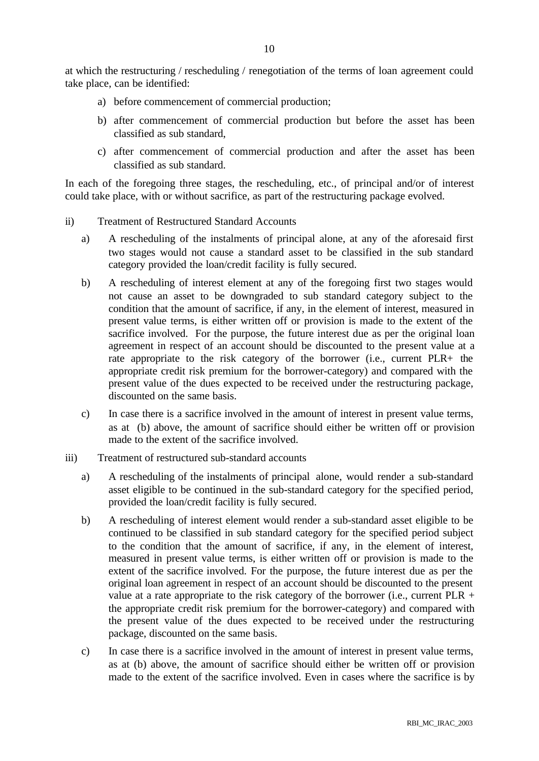at which the restructuring / rescheduling / renegotiation of the terms of loan agreement could take place, can be identified:

- a) before commencement of commercial production;
- b) after commencement of commercial production but before the asset has been classified as sub standard,
- c) after commencement of commercial production and after the asset has been classified as sub standard.

In each of the foregoing three stages, the rescheduling, etc., of principal and/or of interest could take place, with or without sacrifice, as part of the restructuring package evolved.

- ii) Treatment of Restructured Standard Accounts
	- a) A rescheduling of the instalments of principal alone, at any of the aforesaid first two stages would not cause a standard asset to be classified in the sub standard category provided the loan/credit facility is fully secured.
	- b) A rescheduling of interest element at any of the foregoing first two stages would not cause an asset to be downgraded to sub standard category subject to the condition that the amount of sacrifice, if any, in the element of interest, measured in present value terms, is either written off or provision is made to the extent of the sacrifice involved. For the purpose, the future interest due as per the original loan agreement in respect of an account should be discounted to the present value at a rate appropriate to the risk category of the borrower (i.e., current PLR+ the appropriate credit risk premium for the borrower-category) and compared with the present value of the dues expected to be received under the restructuring package, discounted on the same basis.
	- c) In case there is a sacrifice involved in the amount of interest in present value terms, as at (b) above, the amount of sacrifice should either be written off or provision made to the extent of the sacrifice involved.
- iii) Treatment of restructured sub-standard accounts
	- a) A rescheduling of the instalments of principal alone, would render a sub-standard asset eligible to be continued in the sub-standard category for the specified period, provided the loan/credit facility is fully secured.
	- b) A rescheduling of interest element would render a sub-standard asset eligible to be continued to be classified in sub standard category for the specified period subject to the condition that the amount of sacrifice, if any, in the element of interest, measured in present value terms, is either written off or provision is made to the extent of the sacrifice involved. For the purpose, the future interest due as per the original loan agreement in respect of an account should be discounted to the present value at a rate appropriate to the risk category of the borrower (i.e., current PLR  $+$ the appropriate credit risk premium for the borrower-category) and compared with the present value of the dues expected to be received under the restructuring package, discounted on the same basis.
	- c) In case there is a sacrifice involved in the amount of interest in present value terms, as at (b) above, the amount of sacrifice should either be written off or provision made to the extent of the sacrifice involved. Even in cases where the sacrifice is by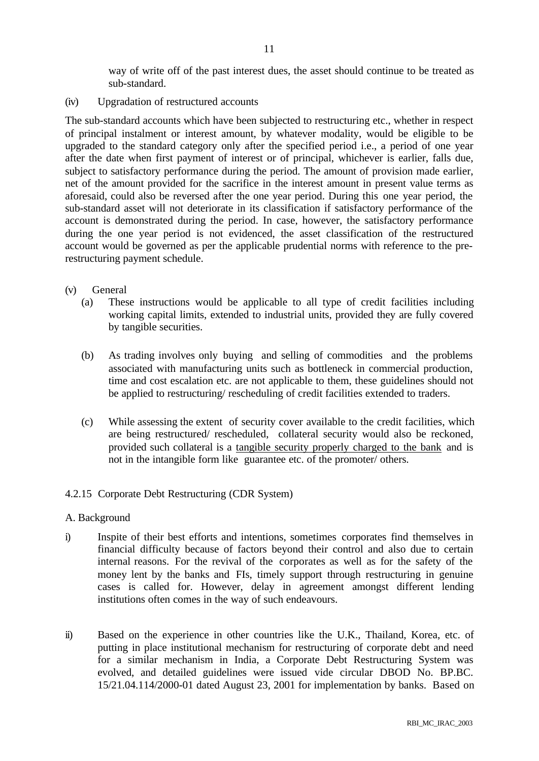way of write off of the past interest dues, the asset should continue to be treated as sub-standard.

(iv) Upgradation of restructured accounts

The sub-standard accounts which have been subjected to restructuring etc., whether in respect of principal instalment or interest amount, by whatever modality, would be eligible to be upgraded to the standard category only after the specified period i.e., a period of one year after the date when first payment of interest or of principal, whichever is earlier, falls due, subject to satisfactory performance during the period. The amount of provision made earlier, net of the amount provided for the sacrifice in the interest amount in present value terms as aforesaid, could also be reversed after the one year period. During this one year period, the sub-standard asset will not deteriorate in its classification if satisfactory performance of the account is demonstrated during the period. In case, however, the satisfactory performance during the one year period is not evidenced, the asset classification of the restructured account would be governed as per the applicable prudential norms with reference to the prerestructuring payment schedule.

- (v) General
	- (a) These instructions would be applicable to all type of credit facilities including working capital limits, extended to industrial units, provided they are fully covered by tangible securities.
	- (b) As trading involves only buying and selling of commodities and the problems associated with manufacturing units such as bottleneck in commercial production, time and cost escalation etc. are not applicable to them, these guidelines should not be applied to restructuring/ rescheduling of credit facilities extended to traders.
	- (c) While assessing the extent of security cover available to the credit facilities, which are being restructured/ rescheduled, collateral security would also be reckoned, provided such collateral is a tangible security properly charged to the bank and is not in the intangible form like guarantee etc. of the promoter/ others.

## 4.2.15 Corporate Debt Restructuring (CDR System)

#### A. Background

- i) Inspite of their best efforts and intentions, sometimes corporates find themselves in financial difficulty because of factors beyond their control and also due to certain internal reasons. For the revival of the corporates as well as for the safety of the money lent by the banks and FIs, timely support through restructuring in genuine cases is called for. However, delay in agreement amongst different lending institutions often comes in the way of such endeavours.
- ii) Based on the experience in other countries like the U.K., Thailand, Korea, etc. of putting in place institutional mechanism for restructuring of corporate debt and need for a similar mechanism in India, a Corporate Debt Restructuring System was evolved, and detailed guidelines were issued vide circular DBOD No. BP.BC. 15/21.04.114/2000-01 dated August 23, 2001 for implementation by banks. Based on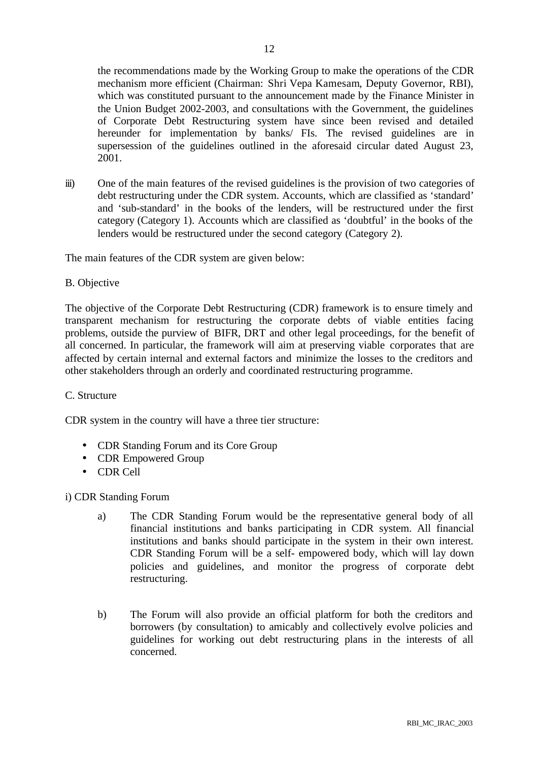the recommendations made by the Working Group to make the operations of the CDR mechanism more efficient (Chairman: Shri Vepa Kamesam, Deputy Governor, RBI), which was constituted pursuant to the announcement made by the Finance Minister in the Union Budget 2002-2003, and consultations with the Government, the guidelines of Corporate Debt Restructuring system have since been revised and detailed hereunder for implementation by banks/ FIs. The revised guidelines are in supersession of the guidelines outlined in the aforesaid circular dated August 23, 2001.

iii) One of the main features of the revised guidelines is the provision of two categories of debt restructuring under the CDR system. Accounts, which are classified as 'standard' and 'sub-standard' in the books of the lenders, will be restructured under the first category (Category 1). Accounts which are classified as 'doubtful' in the books of the lenders would be restructured under the second category (Category 2).

The main features of the CDR system are given below:

#### B. Objective

The objective of the Corporate Debt Restructuring (CDR) framework is to ensure timely and transparent mechanism for restructuring the corporate debts of viable entities facing problems, outside the purview of BIFR, DRT and other legal proceedings, for the benefit of all concerned. In particular, the framework will aim at preserving viable corporates that are affected by certain internal and external factors and minimize the losses to the creditors and other stakeholders through an orderly and coordinated restructuring programme.

#### C. Structure

CDR system in the country will have a three tier structure:

- CDR Standing Forum and its Core Group
- CDR Empowered Group
- CDR Cell

i) CDR Standing Forum

- a) The CDR Standing Forum would be the representative general body of all financial institutions and banks participating in CDR system. All financial institutions and banks should participate in the system in their own interest. CDR Standing Forum will be a self- empowered body, which will lay down policies and guidelines, and monitor the progress of corporate debt restructuring.
- b) The Forum will also provide an official platform for both the creditors and borrowers (by consultation) to amicably and collectively evolve policies and guidelines for working out debt restructuring plans in the interests of all concerned.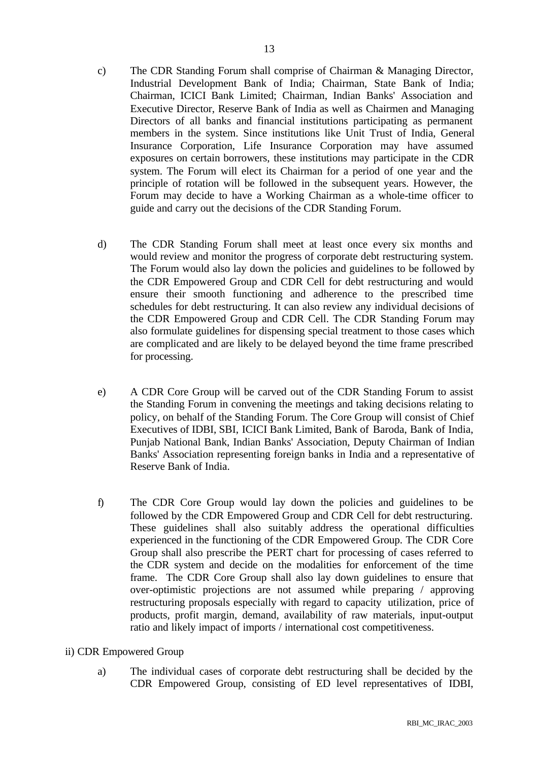- c) The CDR Standing Forum shall comprise of Chairman & Managing Director, Industrial Development Bank of India; Chairman, State Bank of India; Chairman, ICICI Bank Limited; Chairman, Indian Banks' Association and Executive Director, Reserve Bank of India as well as Chairmen and Managing Directors of all banks and financial institutions participating as permanent members in the system. Since institutions like Unit Trust of India, General Insurance Corporation, Life Insurance Corporation may have assumed exposures on certain borrowers, these institutions may participate in the CDR system. The Forum will elect its Chairman for a period of one year and the principle of rotation will be followed in the subsequent years. However, the Forum may decide to have a Working Chairman as a whole-time officer to guide and carry out the decisions of the CDR Standing Forum.
- d) The CDR Standing Forum shall meet at least once every six months and would review and monitor the progress of corporate debt restructuring system. The Forum would also lay down the policies and guidelines to be followed by the CDR Empowered Group and CDR Cell for debt restructuring and would ensure their smooth functioning and adherence to the prescribed time schedules for debt restructuring. It can also review any individual decisions of the CDR Empowered Group and CDR Cell. The CDR Standing Forum may also formulate guidelines for dispensing special treatment to those cases which are complicated and are likely to be delayed beyond the time frame prescribed for processing.
- e) A CDR Core Group will be carved out of the CDR Standing Forum to assist the Standing Forum in convening the meetings and taking decisions relating to policy, on behalf of the Standing Forum. The Core Group will consist of Chief Executives of IDBI, SBI, ICICI Bank Limited, Bank of Baroda, Bank of India, Punjab National Bank, Indian Banks' Association, Deputy Chairman of Indian Banks' Association representing foreign banks in India and a representative of Reserve Bank of India.
- f) The CDR Core Group would lay down the policies and guidelines to be followed by the CDR Empowered Group and CDR Cell for debt restructuring. These guidelines shall also suitably address the operational difficulties experienced in the functioning of the CDR Empowered Group. The CDR Core Group shall also prescribe the PERT chart for processing of cases referred to the CDR system and decide on the modalities for enforcement of the time frame. The CDR Core Group shall also lay down guidelines to ensure that over-optimistic projections are not assumed while preparing / approving restructuring proposals especially with regard to capacity utilization, price of products, profit margin, demand, availability of raw materials, input-output ratio and likely impact of imports / international cost competitiveness.
- ii) CDR Empowered Group
	- a) The individual cases of corporate debt restructuring shall be decided by the CDR Empowered Group, consisting of ED level representatives of IDBI,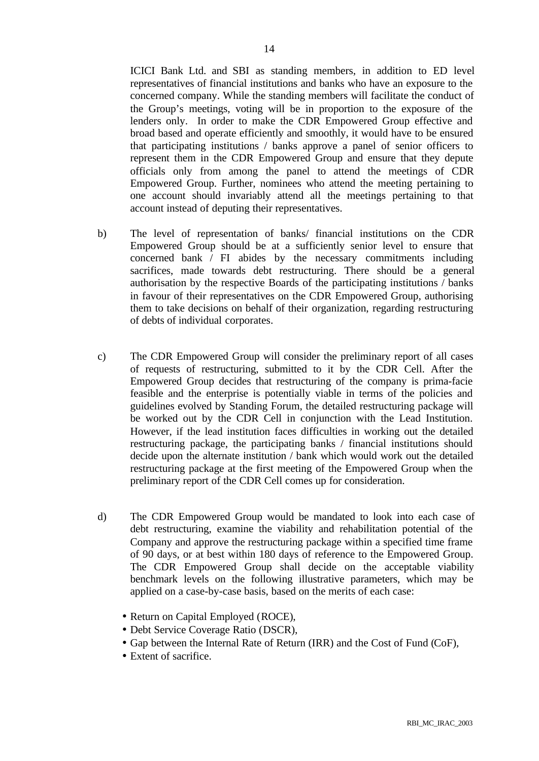ICICI Bank Ltd. and SBI as standing members, in addition to ED level representatives of financial institutions and banks who have an exposure to the concerned company. While the standing members will facilitate the conduct of the Group's meetings, voting will be in proportion to the exposure of the lenders only. In order to make the CDR Empowered Group effective and broad based and operate efficiently and smoothly, it would have to be ensured that participating institutions / banks approve a panel of senior officers to represent them in the CDR Empowered Group and ensure that they depute officials only from among the panel to attend the meetings of CDR Empowered Group. Further, nominees who attend the meeting pertaining to one account should invariably attend all the meetings pertaining to that account instead of deputing their representatives.

- b) The level of representation of banks/ financial institutions on the CDR Empowered Group should be at a sufficiently senior level to ensure that concerned bank / FI abides by the necessary commitments including sacrifices, made towards debt restructuring. There should be a general authorisation by the respective Boards of the participating institutions / banks in favour of their representatives on the CDR Empowered Group, authorising them to take decisions on behalf of their organization, regarding restructuring of debts of individual corporates.
- c) The CDR Empowered Group will consider the preliminary report of all cases of requests of restructuring, submitted to it by the CDR Cell. After the Empowered Group decides that restructuring of the company is prima-facie feasible and the enterprise is potentially viable in terms of the policies and guidelines evolved by Standing Forum, the detailed restructuring package will be worked out by the CDR Cell in conjunction with the Lead Institution. However, if the lead institution faces difficulties in working out the detailed restructuring package, the participating banks / financial institutions should decide upon the alternate institution / bank which would work out the detailed restructuring package at the first meeting of the Empowered Group when the preliminary report of the CDR Cell comes up for consideration.
- d) The CDR Empowered Group would be mandated to look into each case of debt restructuring, examine the viability and rehabilitation potential of the Company and approve the restructuring package within a specified time frame of 90 days, or at best within 180 days of reference to the Empowered Group. The CDR Empowered Group shall decide on the acceptable viability benchmark levels on the following illustrative parameters, which may be applied on a case-by-case basis, based on the merits of each case:
	- Return on Capital Employed (ROCE),
	- Debt Service Coverage Ratio (DSCR),
	- Gap between the Internal Rate of Return (IRR) and the Cost of Fund (CoF),
	- Extent of sacrifice.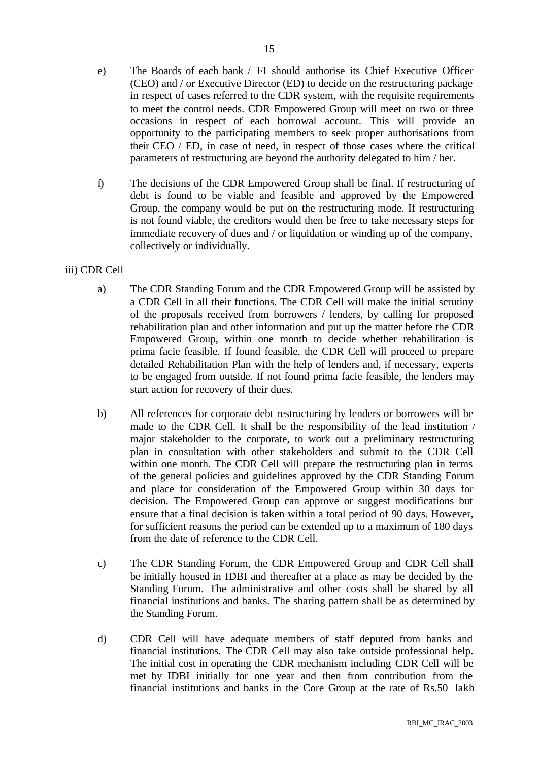- e) The Boards of each bank / FI should authorise its Chief Executive Officer (CEO) and / or Executive Director (ED) to decide on the restructuring package in respect of cases referred to the CDR system, with the requisite requirements to meet the control needs. CDR Empowered Group will meet on two or three occasions in respect of each borrowal account. This will provide an opportunity to the participating members to seek proper authorisations from their CEO / ED, in case of need, in respect of those cases where the critical parameters of restructuring are beyond the authority delegated to him / her.
- f) The decisions of the CDR Empowered Group shall be final. If restructuring of debt is found to be viable and feasible and approved by the Empowered Group, the company would be put on the restructuring mode. If restructuring is not found viable, the creditors would then be free to take necessary steps for immediate recovery of dues and / or liquidation or winding up of the company, collectively or individually.
- iii) CDR Cell
	- a) The CDR Standing Forum and the CDR Empowered Group will be assisted by a CDR Cell in all their functions. The CDR Cell will make the initial scrutiny of the proposals received from borrowers / lenders, by calling for proposed rehabilitation plan and other information and put up the matter before the CDR Empowered Group, within one month to decide whether rehabilitation is prima facie feasible. If found feasible, the CDR Cell will proceed to prepare detailed Rehabilitation Plan with the help of lenders and, if necessary, experts to be engaged from outside. If not found prima facie feasible, the lenders may start action for recovery of their dues.
	- b) All references for corporate debt restructuring by lenders or borrowers will be made to the CDR Cell. It shall be the responsibility of the lead institution / major stakeholder to the corporate, to work out a preliminary restructuring plan in consultation with other stakeholders and submit to the CDR Cell within one month. The CDR Cell will prepare the restructuring plan in terms of the general policies and guidelines approved by the CDR Standing Forum and place for consideration of the Empowered Group within 30 days for decision. The Empowered Group can approve or suggest modifications but ensure that a final decision is taken within a total period of 90 days. However, for sufficient reasons the period can be extended up to a maximum of 180 days from the date of reference to the CDR Cell.
	- c) The CDR Standing Forum, the CDR Empowered Group and CDR Cell shall be initially housed in IDBI and thereafter at a place as may be decided by the Standing Forum. The administrative and other costs shall be shared by all financial institutions and banks. The sharing pattern shall be as determined by the Standing Forum.
	- d) CDR Cell will have adequate members of staff deputed from banks and financial institutions. The CDR Cell may also take outside professional help. The initial cost in operating the CDR mechanism including CDR Cell will be met by IDBI initially for one year and then from contribution from the financial institutions and banks in the Core Group at the rate of Rs.50 lakh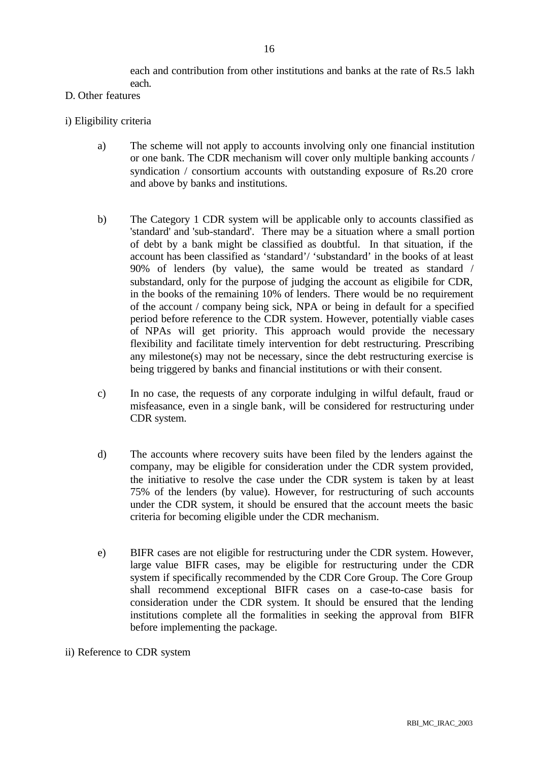each and contribution from other institutions and banks at the rate of Rs.5 lakh each.

## D. Other features

- i) Eligibility criteria
	- a) The scheme will not apply to accounts involving only one financial institution or one bank. The CDR mechanism will cover only multiple banking accounts / syndication / consortium accounts with outstanding exposure of Rs.20 crore and above by banks and institutions.
	- b) The Category 1 CDR system will be applicable only to accounts classified as 'standard' and 'sub-standard'. There may be a situation where a small portion of debt by a bank might be classified as doubtful. In that situation, if the account has been classified as 'standard'/ 'substandard' in the books of at least 90% of lenders (by value), the same would be treated as standard / substandard, only for the purpose of judging the account as eligibile for CDR, in the books of the remaining 10% of lenders. There would be no requirement of the account / company being sick, NPA or being in default for a specified period before reference to the CDR system. However, potentially viable cases of NPAs will get priority. This approach would provide the necessary flexibility and facilitate timely intervention for debt restructuring. Prescribing any milestone(s) may not be necessary, since the debt restructuring exercise is being triggered by banks and financial institutions or with their consent.
	- c) In no case, the requests of any corporate indulging in wilful default, fraud or misfeasance, even in a single bank*,* will be considered for restructuring under CDR system.
	- d) The accounts where recovery suits have been filed by the lenders against the company, may be eligible for consideration under the CDR system provided, the initiative to resolve the case under the CDR system is taken by at least 75% of the lenders (by value). However, for restructuring of such accounts under the CDR system, it should be ensured that the account meets the basic criteria for becoming eligible under the CDR mechanism.
	- e) BIFR cases are not eligible for restructuring under the CDR system. However, large value BIFR cases, may be eligible for restructuring under the CDR system if specifically recommended by the CDR Core Group. The Core Group shall recommend exceptional BIFR cases on a case-to-case basis for consideration under the CDR system. It should be ensured that the lending institutions complete all the formalities in seeking the approval from BIFR before implementing the package.

ii) Reference to CDR system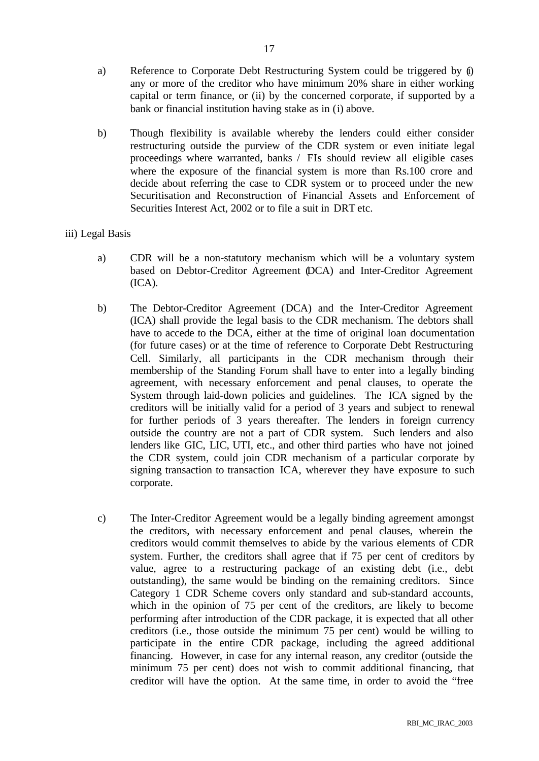- a) Reference to Corporate Debt Restructuring System could be triggered by (i) any or more of the creditor who have minimum 20% share in either working capital or term finance, or (ii) by the concerned corporate, if supported by a bank or financial institution having stake as in (i) above.
- b) Though flexibility is available whereby the lenders could either consider restructuring outside the purview of the CDR system or even initiate legal proceedings where warranted, banks / FIs should review all eligible cases where the exposure of the financial system is more than Rs.100 crore and decide about referring the case to CDR system or to proceed under the new Securitisation and Reconstruction of Financial Assets and Enforcement of Securities Interest Act, 2002 or to file a suit in DRT etc.
- iii) Legal Basis
	- a) CDR will be a non-statutory mechanism which will be a voluntary system based on Debtor-Creditor Agreement (DCA) and Inter-Creditor Agreement  $(ICA).$
	- b) The Debtor-Creditor Agreement (DCA) and the Inter-Creditor Agreement (ICA) shall provide the legal basis to the CDR mechanism. The debtors shall have to accede to the DCA, either at the time of original loan documentation (for future cases) or at the time of reference to Corporate Debt Restructuring Cell. Similarly, all participants in the CDR mechanism through their membership of the Standing Forum shall have to enter into a legally binding agreement, with necessary enforcement and penal clauses, to operate the System through laid-down policies and guidelines. The ICA signed by the creditors will be initially valid for a period of 3 years and subject to renewal for further periods of 3 years thereafter. The lenders in foreign currency outside the country are not a part of CDR system. Such lenders and also lenders like GIC, LIC, UTI, etc., and other third parties who have not joined the CDR system, could join CDR mechanism of a particular corporate by signing transaction to transaction ICA, wherever they have exposure to such corporate.
	- c) The Inter-Creditor Agreement would be a legally binding agreement amongst the creditors, with necessary enforcement and penal clauses, wherein the creditors would commit themselves to abide by the various elements of CDR system. Further, the creditors shall agree that if 75 per cent of creditors by value, agree to a restructuring package of an existing debt (i.e., debt outstanding), the same would be binding on the remaining creditors. Since Category 1 CDR Scheme covers only standard and sub-standard accounts, which in the opinion of 75 per cent of the creditors, are likely to become performing after introduction of the CDR package, it is expected that all other creditors (i.e., those outside the minimum 75 per cent) would be willing to participate in the entire CDR package, including the agreed additional financing. However, in case for any internal reason, any creditor (outside the minimum 75 per cent) does not wish to commit additional financing, that creditor will have the option. At the same time, in order to avoid the "free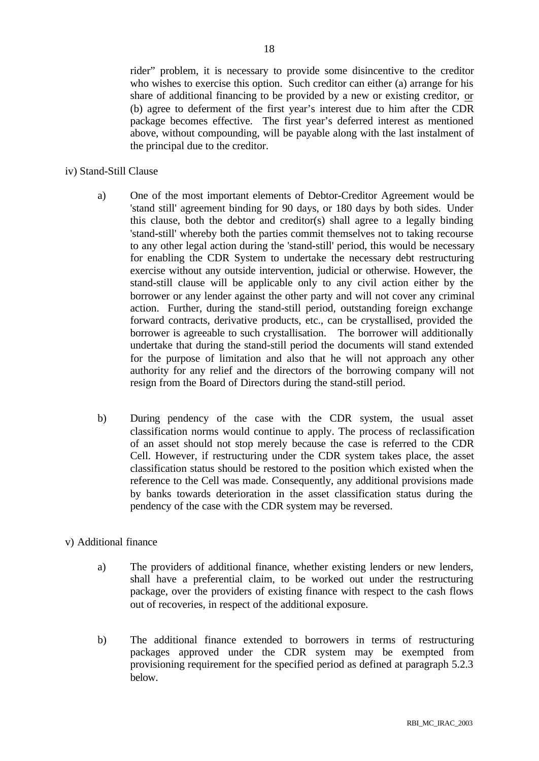rider" problem, it is necessary to provide some disincentive to the creditor who wishes to exercise this option. Such creditor can either (a) arrange for his share of additional financing to be provided by a new or existing creditor, or (b) agree to deferment of the first year's interest due to him after the CDR package becomes effective. The first year's deferred interest as mentioned above, without compounding, will be payable along with the last instalment of the principal due to the creditor.

#### iv) Stand-Still Clause

- a) One of the most important elements of Debtor-Creditor Agreement would be 'stand still' agreement binding for 90 days, or 180 days by both sides. Under this clause, both the debtor and creditor(s) shall agree to a legally binding 'stand-still' whereby both the parties commit themselves not to taking recourse to any other legal action during the 'stand-still' period, this would be necessary for enabling the CDR System to undertake the necessary debt restructuring exercise without any outside intervention, judicial or otherwise. However, the stand-still clause will be applicable only to any civil action either by the borrower or any lender against the other party and will not cover any criminal action. Further, during the stand-still period, outstanding foreign exchange forward contracts, derivative products, etc., can be crystallised, provided the borrower is agreeable to such crystallisation. The borrower will additionally undertake that during the stand-still period the documents will stand extended for the purpose of limitation and also that he will not approach any other authority for any relief and the directors of the borrowing company will not resign from the Board of Directors during the stand-still period.
- b) During pendency of the case with the CDR system, the usual asset classification norms would continue to apply. The process of reclassification of an asset should not stop merely because the case is referred to the CDR Cell. However, if restructuring under the CDR system takes place, the asset classification status should be restored to the position which existed when the reference to the Cell was made. Consequently, any additional provisions made by banks towards deterioration in the asset classification status during the pendency of the case with the CDR system may be reversed.

## v) Additional finance

- a) The providers of additional finance, whether existing lenders or new lenders, shall have a preferential claim, to be worked out under the restructuring package, over the providers of existing finance with respect to the cash flows out of recoveries, in respect of the additional exposure.
- b) The additional finance extended to borrowers in terms of restructuring packages approved under the CDR system may be exempted from provisioning requirement for the specified period as defined at paragraph 5.2.3 below.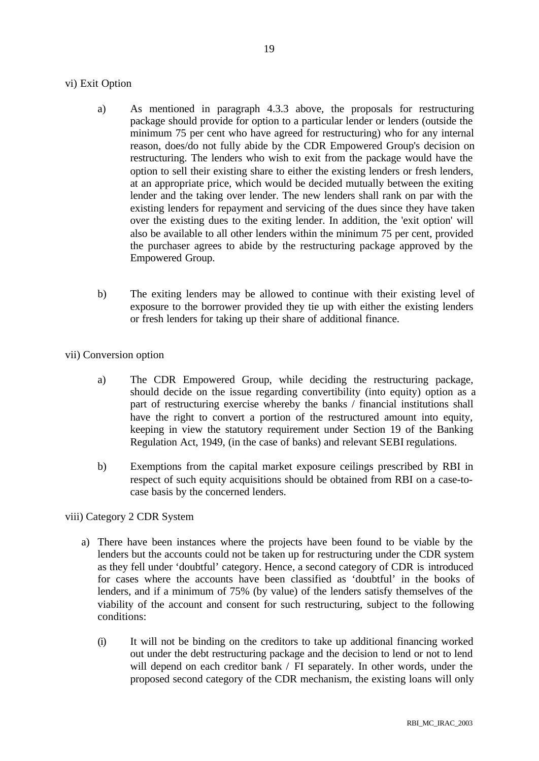#### vi) Exit Option

- a) As mentioned in paragraph 4.3.3 above, the proposals for restructuring package should provide for option to a particular lender or lenders (outside the minimum 75 per cent who have agreed for restructuring) who for any internal reason, does/do not fully abide by the CDR Empowered Group's decision on restructuring. The lenders who wish to exit from the package would have the option to sell their existing share to either the existing lenders or fresh lenders, at an appropriate price, which would be decided mutually between the exiting lender and the taking over lender. The new lenders shall rank on par with the existing lenders for repayment and servicing of the dues since they have taken over the existing dues to the exiting lender. In addition, the 'exit option' will also be available to all other lenders within the minimum 75 per cent, provided the purchaser agrees to abide by the restructuring package approved by the Empowered Group.
- b) The exiting lenders may be allowed to continue with their existing level of exposure to the borrower provided they tie up with either the existing lenders or fresh lenders for taking up their share of additional finance.

#### vii) Conversion option

- a) The CDR Empowered Group, while deciding the restructuring package, should decide on the issue regarding convertibility (into equity) option as a part of restructuring exercise whereby the banks / financial institutions shall have the right to convert a portion of the restructured amount into equity, keeping in view the statutory requirement under Section 19 of the Banking Regulation Act, 1949, (in the case of banks) and relevant SEBI regulations.
- b) Exemptions from the capital market exposure ceilings prescribed by RBI in respect of such equity acquisitions should be obtained from RBI on a case-tocase basis by the concerned lenders.

## viii) Category 2 CDR System

- a) There have been instances where the projects have been found to be viable by the lenders but the accounts could not be taken up for restructuring under the CDR system as they fell under 'doubtful' category. Hence, a second category of CDR is introduced for cases where the accounts have been classified as 'doubtful' in the books of lenders, and if a minimum of 75% (by value) of the lenders satisfy themselves of the viability of the account and consent for such restructuring, subject to the following conditions:
	- (i) It will not be binding on the creditors to take up additional financing worked out under the debt restructuring package and the decision to lend or not to lend will depend on each creditor bank / FI separately. In other words, under the proposed second category of the CDR mechanism, the existing loans will only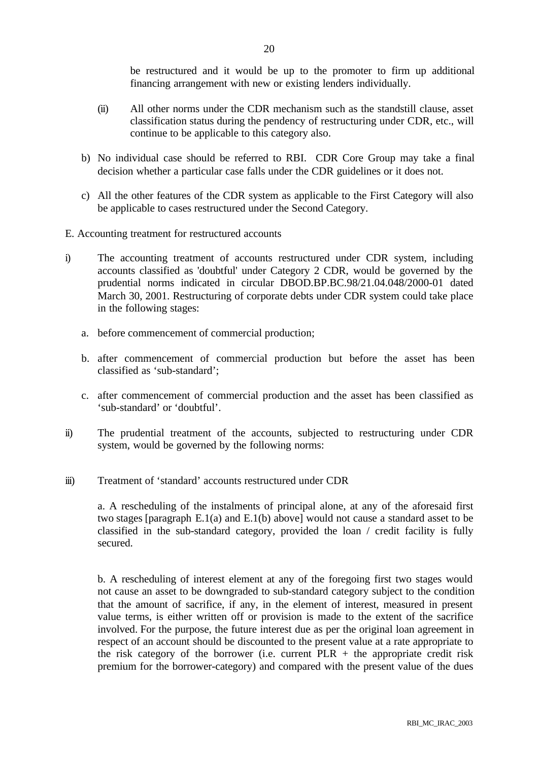be restructured and it would be up to the promoter to firm up additional financing arrangement with new or existing lenders individually.

- (ii) All other norms under the CDR mechanism such as the standstill clause, asset classification status during the pendency of restructuring under CDR, etc., will continue to be applicable to this category also.
- b) No individual case should be referred to RBI. CDR Core Group may take a final decision whether a particular case falls under the CDR guidelines or it does not.
- c) All the other features of the CDR system as applicable to the First Category will also be applicable to cases restructured under the Second Category.
- E. Accounting treatment for restructured accounts
- i) The accounting treatment of accounts restructured under CDR system, including accounts classified as 'doubtful' under Category 2 CDR, would be governed by the prudential norms indicated in circular DBOD.BP.BC.98/21.04.048/2000-01 dated March 30, 2001. Restructuring of corporate debts under CDR system could take place in the following stages:
	- a. before commencement of commercial production;
	- b. after commencement of commercial production but before the asset has been classified as 'sub-standard';
	- c. after commencement of commercial production and the asset has been classified as 'sub-standard' or 'doubtful'.
- ii) The prudential treatment of the accounts, subjected to restructuring under CDR system, would be governed by the following norms:
- iii) Treatment of 'standard' accounts restructured under CDR

a. A rescheduling of the instalments of principal alone, at any of the aforesaid first two stages [paragraph E.1(a) and E.1(b) above] would not cause a standard asset to be classified in the sub-standard category, provided the loan / credit facility is fully secured.

b. A rescheduling of interest element at any of the foregoing first two stages would not cause an asset to be downgraded to sub-standard category subject to the condition that the amount of sacrifice, if any, in the element of interest, measured in present value terms, is either written off or provision is made to the extent of the sacrifice involved. For the purpose, the future interest due as per the original loan agreement in respect of an account should be discounted to the present value at a rate appropriate to the risk category of the borrower (i.e. current  $PLR +$  the appropriate credit risk premium for the borrower-category) and compared with the present value of the dues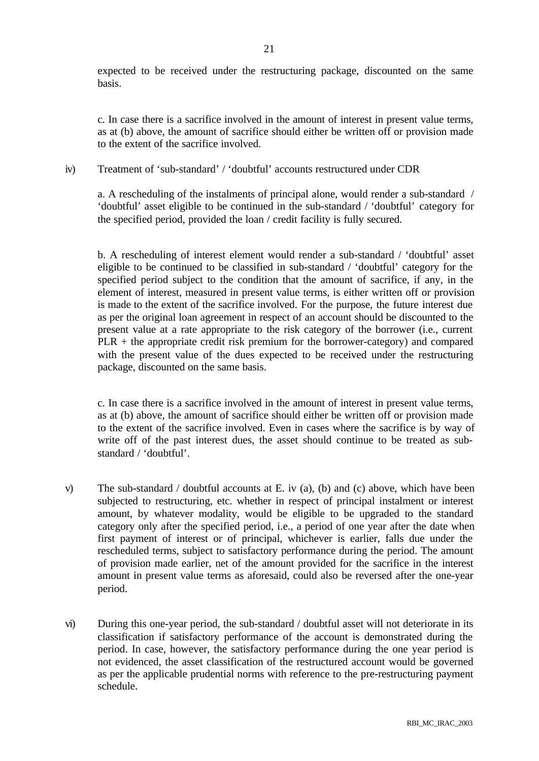expected to be received under the restructuring package, discounted on the same basis.

c. In case there is a sacrifice involved in the amount of interest in present value terms, as at (b) above, the amount of sacrifice should either be written off or provision made to the extent of the sacrifice involved.

## iv) Treatment of 'sub-standard' / 'doubtful' accounts restructured under CDR

a. A rescheduling of the instalments of principal alone, would render a sub-standard / 'doubtful' asset eligible to be continued in the sub-standard / 'doubtful' category for the specified period, provided the loan / credit facility is fully secured.

b. A rescheduling of interest element would render a sub-standard / 'doubtful' asset eligible to be continued to be classified in sub-standard / 'doubtful' category for the specified period subject to the condition that the amount of sacrifice, if any, in the element of interest, measured in present value terms, is either written off or provision is made to the extent of the sacrifice involved. For the purpose, the future interest due as per the original loan agreement in respect of an account should be discounted to the present value at a rate appropriate to the risk category of the borrower (i.e., current PLR + the appropriate credit risk premium for the borrower-category) and compared with the present value of the dues expected to be received under the restructuring package, discounted on the same basis.

c. In case there is a sacrifice involved in the amount of interest in present value terms, as at (b) above, the amount of sacrifice should either be written off or provision made to the extent of the sacrifice involved. Even in cases where the sacrifice is by way of write off of the past interest dues, the asset should continue to be treated as substandard / 'doubtful'.

- v) The sub-standard / doubtful accounts at E. iv (a), (b) and (c) above, which have been subjected to restructuring, etc. whether in respect of principal instalment or interest amount, by whatever modality, would be eligible to be upgraded to the standard category only after the specified period, i.e., a period of one year after the date when first payment of interest or of principal, whichever is earlier, falls due under the rescheduled terms, subject to satisfactory performance during the period. The amount of provision made earlier, net of the amount provided for the sacrifice in the interest amount in present value terms as aforesaid, could also be reversed after the one-year period.
- vi) During this one-year period, the sub-standard / doubtful asset will not deteriorate in its classification if satisfactory performance of the account is demonstrated during the period. In case, however, the satisfactory performance during the one year period is not evidenced, the asset classification of the restructured account would be governed as per the applicable prudential norms with reference to the pre-restructuring payment schedule.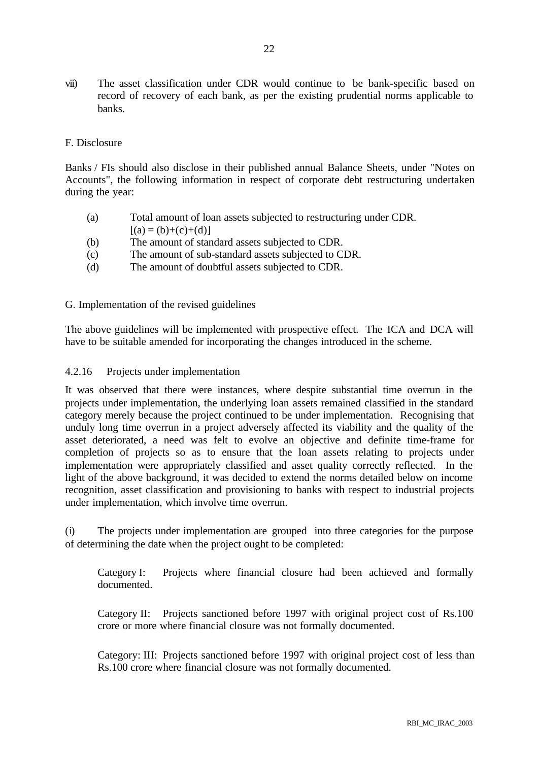vii) The asset classification under CDR would continue to be bank-specific based on record of recovery of each bank, as per the existing prudential norms applicable to banks.

### F. Disclosure

Banks / FIs should also disclose in their published annual Balance Sheets, under "Notes on Accounts", the following information in respect of corporate debt restructuring undertaken during the year:

- (a) Total amount of loan assets subjected to restructuring under CDR.
	- $[(a) = (b)+(c)+(d)]$
- (b) The amount of standard assets subjected to CDR.
- (c) The amount of sub-standard assets subjected to CDR.
- (d) The amount of doubtful assets subjected to CDR.

## G. Implementation of the revised guidelines

The above guidelines will be implemented with prospective effect. The ICA and DCA will have to be suitable amended for incorporating the changes introduced in the scheme.

### 4.2.16 Projects under implementation

It was observed that there were instances, where despite substantial time overrun in the projects under implementation, the underlying loan assets remained classified in the standard category merely because the project continued to be under implementation. Recognising that unduly long time overrun in a project adversely affected its viability and the quality of the asset deteriorated, a need was felt to evolve an objective and definite time-frame for completion of projects so as to ensure that the loan assets relating to projects under implementation were appropriately classified and asset quality correctly reflected. In the light of the above background, it was decided to extend the norms detailed below on income recognition, asset classification and provisioning to banks with respect to industrial projects under implementation, which involve time overrun.

(i) The projects under implementation are grouped into three categories for the purpose of determining the date when the project ought to be completed:

Category I: Projects where financial closure had been achieved and formally documented.

Category II: Projects sanctioned before 1997 with original project cost of Rs.100 crore or more where financial closure was not formally documented.

Category: III: Projects sanctioned before 1997 with original project cost of less than Rs.100 crore where financial closure was not formally documented.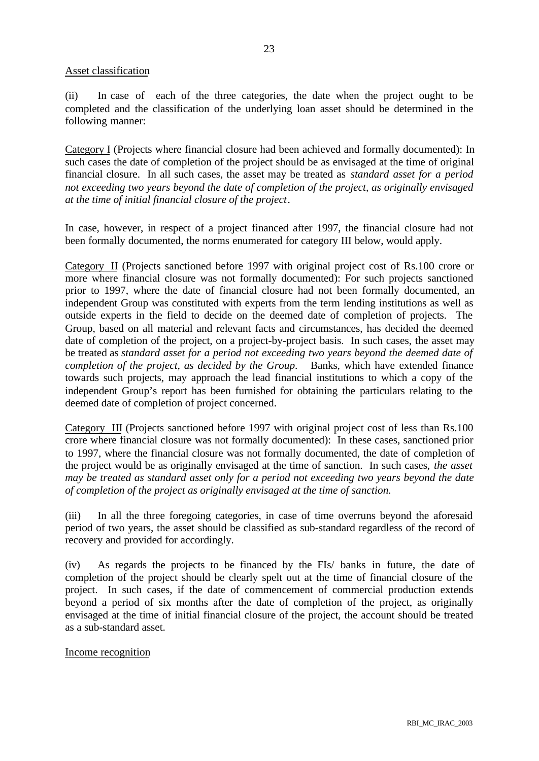Asset classification

(ii) In case of each of the three categories, the date when the project ought to be completed and the classification of the underlying loan asset should be determined in the following manner:

Category I (Projects where financial closure had been achieved and formally documented): In such cases the date of completion of the project should be as envisaged at the time of original financial closure. In all such cases, the asset may be treated as *standard asset for a period not exceeding two years beyond the date of completion of the project, as originally envisaged at the time of initial financial closure of the project*.

In case, however, in respect of a project financed after 1997, the financial closure had not been formally documented, the norms enumerated for category III below, would apply.

Category II (Projects sanctioned before 1997 with original project cost of Rs.100 crore or more where financial closure was not formally documented): For such projects sanctioned prior to 1997, where the date of financial closure had not been formally documented, an independent Group was constituted with experts from the term lending institutions as well as outside experts in the field to decide on the deemed date of completion of projects. The Group, based on all material and relevant facts and circumstances, has decided the deemed date of completion of the project, on a project-by-project basis. In such cases, the asset may be treated as *standard asset for a period not exceeding two years beyond the deemed date of completion of the project, as decided by the Group*. Banks, which have extended finance towards such projects, may approach the lead financial institutions to which a copy of the independent Group's report has been furnished for obtaining the particulars relating to the deemed date of completion of project concerned.

Category III (Projects sanctioned before 1997 with original project cost of less than Rs.100 crore where financial closure was not formally documented): In these cases, sanctioned prior to 1997, where the financial closure was not formally documented, the date of completion of the project would be as originally envisaged at the time of sanction. In such cases, *the asset may be treated as standard asset only for a period not exceeding two years beyond the date of completion of the project as originally envisaged at the time of sanction.*

(iii) In all the three foregoing categories, in case of time overruns beyond the aforesaid period of two years, the asset should be classified as sub-standard regardless of the record of recovery and provided for accordingly.

(iv) As regards the projects to be financed by the FIs/ banks in future, the date of completion of the project should be clearly spelt out at the time of financial closure of the project. In such cases, if the date of commencement of commercial production extends beyond a period of six months after the date of completion of the project, as originally envisaged at the time of initial financial closure of the project, the account should be treated as a sub-standard asset.

## Income recognition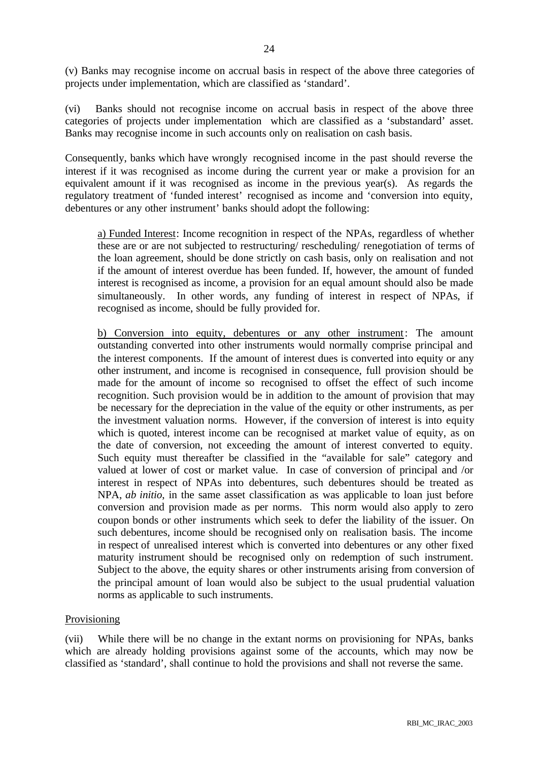(v) Banks may recognise income on accrual basis in respect of the above three categories of projects under implementation, which are classified as 'standard'.

(vi) Banks should not recognise income on accrual basis in respect of the above three categories of projects under implementation which are classified as a 'substandard' asset. Banks may recognise income in such accounts only on realisation on cash basis.

Consequently, banks which have wrongly recognised income in the past should reverse the interest if it was recognised as income during the current year or make a provision for an equivalent amount if it was recognised as income in the previous year(s). As regards the regulatory treatment of 'funded interest' recognised as income and 'conversion into equity, debentures or any other instrument' banks should adopt the following:

a) Funded Interest: Income recognition in respect of the NPAs, regardless of whether these are or are not subjected to restructuring/ rescheduling/ renegotiation of terms of the loan agreement, should be done strictly on cash basis, only on realisation and not if the amount of interest overdue has been funded. If, however, the amount of funded interest is recognised as income, a provision for an equal amount should also be made simultaneously. In other words, any funding of interest in respect of NPAs, if recognised as income, should be fully provided for.

b) Conversion into equity, debentures or any other instrument: The amount outstanding converted into other instruments would normally comprise principal and the interest components. If the amount of interest dues is converted into equity or any other instrument, and income is recognised in consequence, full provision should be made for the amount of income so recognised to offset the effect of such income recognition. Such provision would be in addition to the amount of provision that may be necessary for the depreciation in the value of the equity or other instruments, as per the investment valuation norms. However, if the conversion of interest is into equity which is quoted, interest income can be recognised at market value of equity, as on the date of conversion, not exceeding the amount of interest converted to equity. Such equity must thereafter be classified in the "available for sale" category and valued at lower of cost or market value. In case of conversion of principal and /or interest in respect of NPAs into debentures, such debentures should be treated as NPA, *ab initio*, in the same asset classification as was applicable to loan just before conversion and provision made as per norms. This norm would also apply to zero coupon bonds or other instruments which seek to defer the liability of the issuer. On such debentures, income should be recognised only on realisation basis. The income in respect of unrealised interest which is converted into debentures or any other fixed maturity instrument should be recognised only on redemption of such instrument. Subject to the above, the equity shares or other instruments arising from conversion of the principal amount of loan would also be subject to the usual prudential valuation norms as applicable to such instruments.

## Provisioning

(vii) While there will be no change in the extant norms on provisioning for NPAs, banks which are already holding provisions against some of the accounts, which may now be classified as 'standard', shall continue to hold the provisions and shall not reverse the same.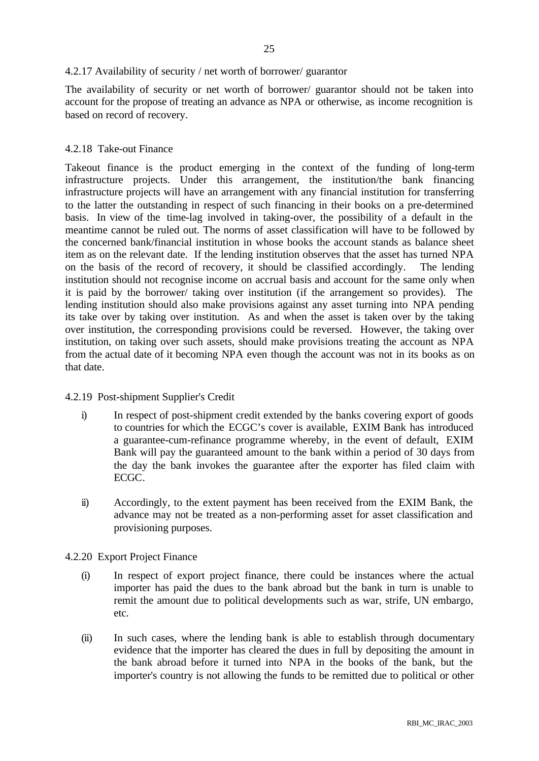### 4.2.17 Availability of security / net worth of borrower/ guarantor

The availability of security or net worth of borrower/ guarantor should not be taken into account for the propose of treating an advance as NPA or otherwise, as income recognition is based on record of recovery.

#### 4.2.18 Take-out Finance

Takeout finance is the product emerging in the context of the funding of long-term infrastructure projects. Under this arrangement, the institution/the bank financing infrastructure projects will have an arrangement with any financial institution for transferring to the latter the outstanding in respect of such financing in their books on a pre-determined basis. In view of the time-lag involved in taking-over, the possibility of a default in the meantime cannot be ruled out. The norms of asset classification will have to be followed by the concerned bank/financial institution in whose books the account stands as balance sheet item as on the relevant date. If the lending institution observes that the asset has turned NPA on the basis of the record of recovery, it should be classified accordingly. The lending institution should not recognise income on accrual basis and account for the same only when it is paid by the borrower/ taking over institution (if the arrangement so provides). The lending institution should also make provisions against any asset turning into NPA pending its take over by taking over institution. As and when the asset is taken over by the taking over institution, the corresponding provisions could be reversed. However, the taking over institution, on taking over such assets, should make provisions treating the account as NPA from the actual date of it becoming NPA even though the account was not in its books as on that date.

#### 4.2.19 Post-shipment Supplier's Credit

- i) In respect of post-shipment credit extended by the banks covering export of goods to countries for which the ECGC's cover is available, EXIM Bank has introduced a guarantee-cum-refinance programme whereby, in the event of default, EXIM Bank will pay the guaranteed amount to the bank within a period of 30 days from the day the bank invokes the guarantee after the exporter has filed claim with ECGC.
- ii) Accordingly, to the extent payment has been received from the EXIM Bank, the advance may not be treated as a non-performing asset for asset classification and provisioning purposes.

## 4.2.20Export Project Finance

- (i) In respect of export project finance, there could be instances where the actual importer has paid the dues to the bank abroad but the bank in turn is unable to remit the amount due to political developments such as war, strife, UN embargo, etc.
- (ii) In such cases, where the lending bank is able to establish through documentary evidence that the importer has cleared the dues in full by depositing the amount in the bank abroad before it turned into NPA in the books of the bank, but the importer's country is not allowing the funds to be remitted due to political or other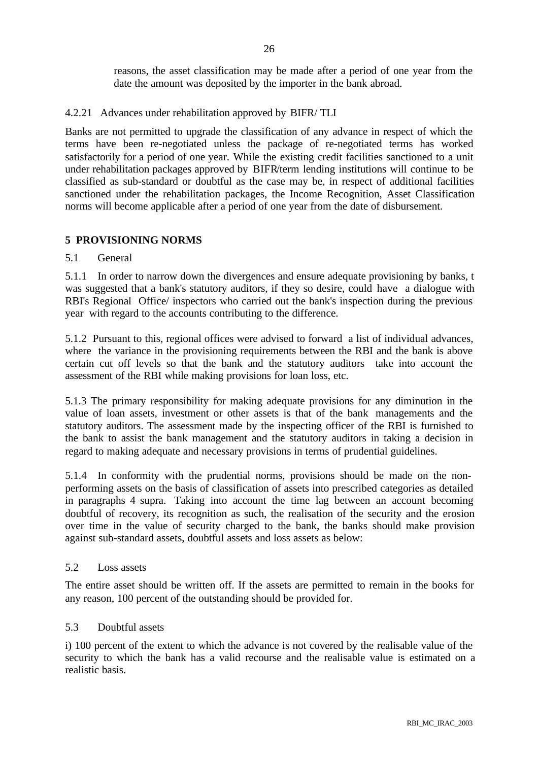reasons, the asset classification may be made after a period of one year from the date the amount was deposited by the importer in the bank abroad.

## 4.2.21 Advances under rehabilitation approved by BIFR/ TLI

Banks are not permitted to upgrade the classification of any advance in respect of which the terms have been re-negotiated unless the package of re-negotiated terms has worked satisfactorily for a period of one year. While the existing credit facilities sanctioned to a unit under rehabilitation packages approved by BIFR/term lending institutions will continue to be classified as sub-standard or doubtful as the case may be, in respect of additional facilities sanctioned under the rehabilitation packages, the Income Recognition, Asset Classification norms will become applicable after a period of one year from the date of disbursement.

## **5 PROVISIONING NORMS**

## 5.1 General

5.1.1 In order to narrow down the divergences and ensure adequate provisioning by banks, t was suggested that a bank's statutory auditors, if they so desire, could have a dialogue with RBI's Regional Office/ inspectors who carried out the bank's inspection during the previous year with regard to the accounts contributing to the difference.

5.1.2 Pursuant to this, regional offices were advised to forward a list of individual advances, where the variance in the provisioning requirements between the RBI and the bank is above certain cut off levels so that the bank and the statutory auditors take into account the assessment of the RBI while making provisions for loan loss, etc.

5.1.3 The primary responsibility for making adequate provisions for any diminution in the value of loan assets, investment or other assets is that of the bank managements and the statutory auditors. The assessment made by the inspecting officer of the RBI is furnished to the bank to assist the bank management and the statutory auditors in taking a decision in regard to making adequate and necessary provisions in terms of prudential guidelines.

5.1.4 In conformity with the prudential norms, provisions should be made on the nonperforming assets on the basis of classification of assets into prescribed categories as detailed in paragraphs 4 supra. Taking into account the time lag between an account becoming doubtful of recovery, its recognition as such, the realisation of the security and the erosion over time in the value of security charged to the bank, the banks should make provision against sub-standard assets, doubtful assets and loss assets as below:

#### 5.2 Loss assets

The entire asset should be written off. If the assets are permitted to remain in the books for any reason, 100 percent of the outstanding should be provided for.

## 5.3 Doubtful assets

i) 100 percent of the extent to which the advance is not covered by the realisable value of the security to which the bank has a valid recourse and the realisable value is estimated on a realistic basis.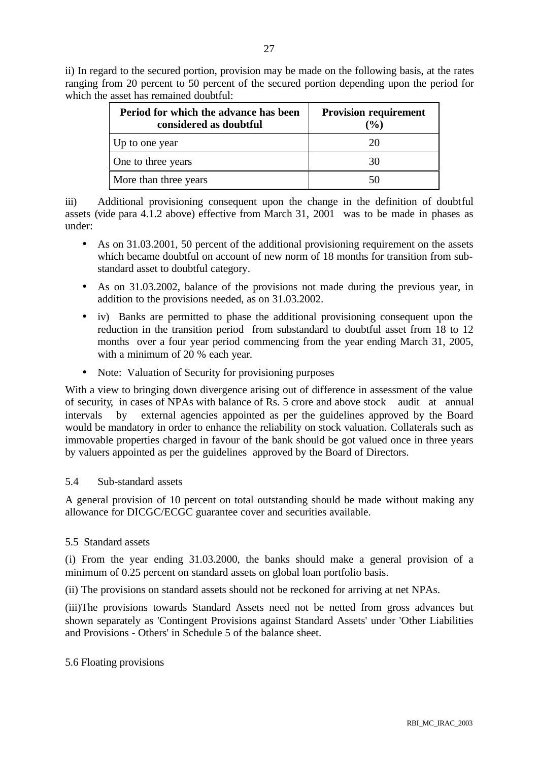ii) In regard to the secured portion, provision may be made on the following basis, at the rates ranging from 20 percent to 50 percent of the secured portion depending upon the period for which the asset has remained doubtful:

| Period for which the advance has been<br>considered as doubtful | <b>Provision requirement</b><br>(%) |
|-----------------------------------------------------------------|-------------------------------------|
| Up to one year                                                  |                                     |
| One to three years                                              | 30                                  |
| More than three years                                           | 50                                  |

iii) Additional provisioning consequent upon the change in the definition of doubtful assets (vide para 4.1.2 above) effective from March 31, 2001 was to be made in phases as under:

- As on 31.03.2001, 50 percent of the additional provisioning requirement on the assets which became doubtful on account of new norm of 18 months for transition from substandard asset to doubtful category.
- As on 31.03.2002, balance of the provisions not made during the previous year, in addition to the provisions needed, as on 31.03.2002.
- iv) Banks are permitted to phase the additional provisioning consequent upon the reduction in the transition period from substandard to doubtful asset from 18 to 12 months over a four year period commencing from the year ending March 31, 2005, with a minimum of 20 % each year.
- Note: Valuation of Security for provisioning purposes

With a view to bringing down divergence arising out of difference in assessment of the value of security, in cases of NPAs with balance of Rs. 5 crore and above stock audit at annual intervals by external agencies appointed as per the guidelines approved by the Board would be mandatory in order to enhance the reliability on stock valuation. Collaterals such as immovable properties charged in favour of the bank should be got valued once in three years by valuers appointed as per the guidelines approved by the Board of Directors.

## 5.4 Sub-standard assets

A general provision of 10 percent on total outstanding should be made without making any allowance for DICGC/ECGC guarantee cover and securities available.

## 5.5 Standard assets

(i) From the year ending 31.03.2000, the banks should make a general provision of a minimum of 0.25 percent on standard assets on global loan portfolio basis.

(ii) The provisions on standard assets should not be reckoned for arriving at net NPAs.

(iii)The provisions towards Standard Assets need not be netted from gross advances but shown separately as 'Contingent Provisions against Standard Assets' under 'Other Liabilities and Provisions - Others' in Schedule 5 of the balance sheet.

## 5.6 Floating provisions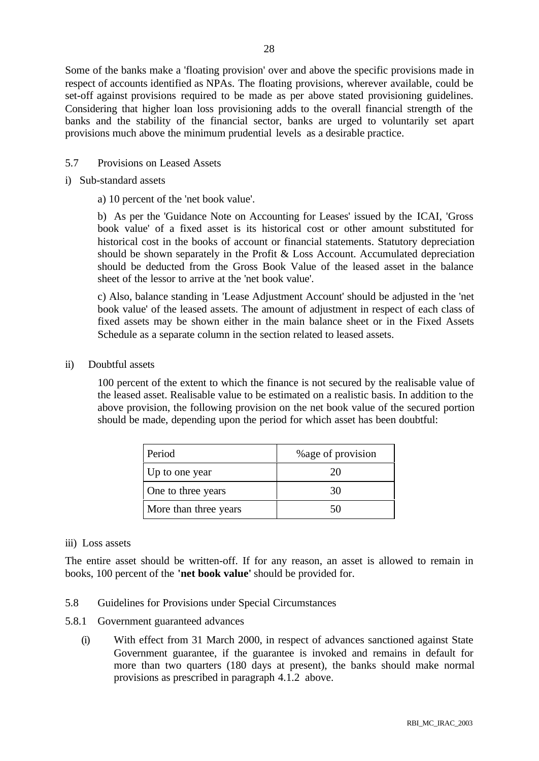Some of the banks make a 'floating provision' over and above the specific provisions made in respect of accounts identified as NPAs. The floating provisions, wherever available, could be set-off against provisions required to be made as per above stated provisioning guidelines. Considering that higher loan loss provisioning adds to the overall financial strength of the banks and the stability of the financial sector, banks are urged to voluntarily set apart provisions much above the minimum prudential levels as a desirable practice.

#### 5.7 Provisions on Leased Assets

#### i) Sub-standard assets

a) 10 percent of the 'net book value'.

b) As per the 'Guidance Note on Accounting for Leases' issued by the ICAI, 'Gross book value' of a fixed asset is its historical cost or other amount substituted for historical cost in the books of account or financial statements. Statutory depreciation should be shown separately in the Profit & Loss Account. Accumulated depreciation should be deducted from the Gross Book Value of the leased asset in the balance sheet of the lessor to arrive at the 'net book value'.

c) Also, balance standing in 'Lease Adjustment Account' should be adjusted in the 'net book value' of the leased assets. The amount of adjustment in respect of each class of fixed assets may be shown either in the main balance sheet or in the Fixed Assets Schedule as a separate column in the section related to leased assets.

#### ii) Doubtful assets

100 percent of the extent to which the finance is not secured by the realisable value of the leased asset. Realisable value to be estimated on a realistic basis. In addition to the above provision, the following provision on the net book value of the secured portion should be made, depending upon the period for which asset has been doubtful:

| Period                | % age of provision |
|-----------------------|--------------------|
| Up to one year        | 20                 |
| One to three years    | 30                 |
| More than three years |                    |

#### iii) Loss assets

The entire asset should be written-off. If for any reason, an asset is allowed to remain in books, 100 percent of the **'net book value'** should be provided for.

- 5.8 Guidelines for Provisions under Special Circumstances
- 5.8.1 Government guaranteed advances
	- (i) With effect from 31 March 2000, in respect of advances sanctioned against State Government guarantee, if the guarantee is invoked and remains in default for more than two quarters (180 days at present), the banks should make normal provisions as prescribed in paragraph 4.1.2 above.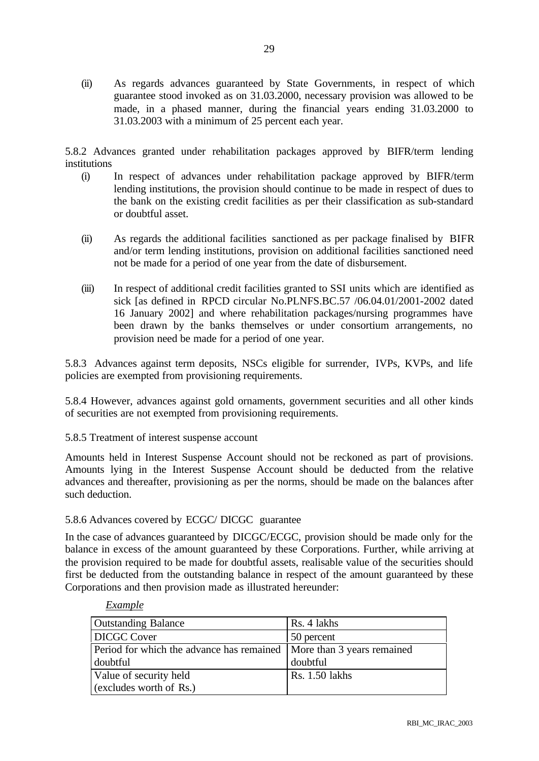(ii) As regards advances guaranteed by State Governments, in respect of which guarantee stood invoked as on 31.03.2000, necessary provision was allowed to be made, in a phased manner, during the financial years ending 31.03.2000 to 31.03.2003 with a minimum of 25 percent each year.

5.8.2 Advances granted under rehabilitation packages approved by BIFR/term lending institutions

- (i) In respect of advances under rehabilitation package approved by BIFR/term lending institutions, the provision should continue to be made in respect of dues to the bank on the existing credit facilities as per their classification as sub-standard or doubtful asset.
- (ii) As regards the additional facilities sanctioned as per package finalised by BIFR and/or term lending institutions, provision on additional facilities sanctioned need not be made for a period of one year from the date of disbursement.
- (iii) In respect of additional credit facilities granted to SSI units which are identified as sick [as defined in RPCD circular No.PLNFS.BC.57 /06.04.01/2001-2002 dated 16 January 2002] and where rehabilitation packages/nursing programmes have been drawn by the banks themselves or under consortium arrangements, no provision need be made for a period of one year.

5.8.3 Advances against term deposits, NSCs eligible for surrender, IVPs, KVPs, and life policies are exempted from provisioning requirements.

5.8.4 However, advances against gold ornaments, government securities and all other kinds of securities are not exempted from provisioning requirements.

## 5.8.5 Treatment of interest suspense account

Amounts held in Interest Suspense Account should not be reckoned as part of provisions. Amounts lying in the Interest Suspense Account should be deducted from the relative advances and thereafter, provisioning as per the norms, should be made on the balances after such deduction.

#### 5.8.6 Advances covered by ECGC/ DICGC guarantee

In the case of advances guaranteed by DICGC/ECGC, provision should be made only for the balance in excess of the amount guaranteed by these Corporations. Further, while arriving at the provision required to be made for doubtful assets, realisable value of the securities should first be deducted from the outstanding balance in respect of the amount guaranteed by these Corporations and then provision made as illustrated hereunder:

| <b>Outstanding Balance</b>                                             | Rs. 4 lakhs           |
|------------------------------------------------------------------------|-----------------------|
| <b>DICGC Cover</b>                                                     | 50 percent            |
| Period for which the advance has remained   More than 3 years remained |                       |
| doubtful                                                               | doubtful              |
| Value of security held                                                 | <b>Rs.</b> 1.50 lakhs |
| (excludes worth of Rs.)                                                |                       |

#### *Example*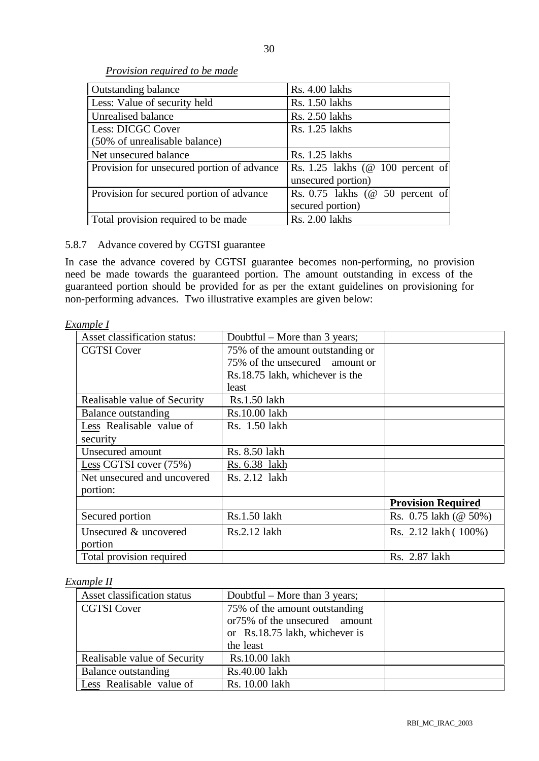*Provision required to be made*

| Outstanding balance                        | <b>Rs. 4.00 lakhs</b>               |
|--------------------------------------------|-------------------------------------|
| Less: Value of security held               | <b>Rs. 1.50 lakhs</b>               |
| Unrealised balance                         | <b>Rs. 2.50 lakhs</b>               |
| Less: DICGC Cover                          | Rs. 1.25 lakhs                      |
| (50% of unrealisable balance)              |                                     |
| Net unsecured balance                      | <b>Rs.</b> 1.25 lakhs               |
| Provision for unsecured portion of advance | Rs. 1.25 lakhs ( $@$ 100 percent of |
|                                            | unsecured portion)                  |
| Provision for secured portion of advance   | Rs. 0.75 lakhs ( $@$ 50 percent of  |
|                                            | secured portion)                    |
| Total provision required to be made        | <b>Rs. 2.00 lakhs</b>               |

## 5.8.7 Advance covered by CGTSI guarantee

In case the advance covered by CGTSI guarantee becomes non-performing, no provision need be made towards the guaranteed portion. The amount outstanding in excess of the guaranteed portion should be provided for as per the extant guidelines on provisioning for non-performing advances. Two illustrative examples are given below:

| Asset classification status: | Doubtful – More than 3 years;    |                             |
|------------------------------|----------------------------------|-----------------------------|
| <b>CGTSI</b> Cover           | 75% of the amount outstanding or |                             |
|                              | 75% of the unsecured amount or   |                             |
|                              | Rs.18.75 lakh, whichever is the  |                             |
|                              | least                            |                             |
| Realisable value of Security | Rs.1.50 lakh                     |                             |
| Balance outstanding          | Rs.10.00 lakh                    |                             |
| Less Realisable value of     | Rs. 1.50 lakh                    |                             |
| security                     |                                  |                             |
| Unsecured amount             | Rs. 8.50 lakh                    |                             |
| Less CGTSI cover (75%)       | Rs. 6.38 lakh                    |                             |
| Net unsecured and uncovered  | Rs. 2.12 lakh                    |                             |
| portion:                     |                                  |                             |
|                              |                                  | <b>Provision Required</b>   |
| Secured portion              | Rs.1.50 lakh                     | Rs. $0.75$ lakh ( $@50\%$ ) |
| Unsecured & uncovered        | Rs.2.12 lakh                     | Rs. 2.12 lakh (100%)        |
| portion                      |                                  |                             |
| Total provision required     |                                  | Rs. 2.87 lakh               |

## *Example I*

## *Example II*

| Asset classification status  | Doubtful – More than $3$ years; |  |
|------------------------------|---------------------------------|--|
| CGTSI Cover                  | 75% of the amount outstanding   |  |
|                              | or 75% of the unsecured amount  |  |
|                              | or Rs.18.75 lakh, whichever is  |  |
|                              | the least                       |  |
| Realisable value of Security | Rs.10.00 lakh                   |  |
| Balance outstanding          | Rs.40.00 lakh                   |  |
| Less Realisable value of     | Rs. 10.00 lakh                  |  |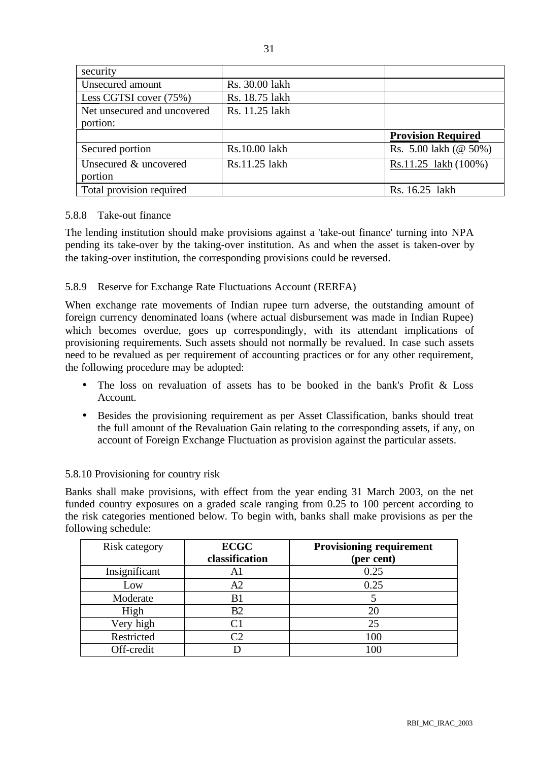| security                    |                |                             |
|-----------------------------|----------------|-----------------------------|
| Unsecured amount            | Rs. 30.00 lakh |                             |
| Less CGTSI cover (75%)      | Rs. 18.75 lakh |                             |
| Net unsecured and uncovered | Rs. 11.25 lakh |                             |
| portion:                    |                |                             |
|                             |                | <b>Provision Required</b>   |
| Secured portion             | Rs.10.00 lakh  | Rs. $5.00$ lakh ( $@50\%$ ) |
| Unsecured & uncovered       | Rs.11.25 lakh  | Rs.11.25 lakh (100%)        |
| portion                     |                |                             |
| Total provision required    |                | Rs. 16.25 lakh              |

## 5.8.8 Take-out finance

The lending institution should make provisions against a 'take-out finance' turning into NPA pending its take-over by the taking-over institution. As and when the asset is taken-over by the taking-over institution, the corresponding provisions could be reversed.

## 5.8.9 Reserve for Exchange Rate Fluctuations Account (RERFA)

When exchange rate movements of Indian rupee turn adverse, the outstanding amount of foreign currency denominated loans (where actual disbursement was made in Indian Rupee) which becomes overdue, goes up correspondingly, with its attendant implications of provisioning requirements. Such assets should not normally be revalued. In case such assets need to be revalued as per requirement of accounting practices or for any other requirement, the following procedure may be adopted:

- The loss on revaluation of assets has to be booked in the bank's Profit & Loss Account.
- Besides the provisioning requirement as per Asset Classification, banks should treat the full amount of the Revaluation Gain relating to the corresponding assets, if any, on account of Foreign Exchange Fluctuation as provision against the particular assets.

#### 5.8.10 Provisioning for country risk

Banks shall make provisions, with effect from the year ending 31 March 2003, on the net funded country exposures on a graded scale ranging from 0.25 to 100 percent according to the risk categories mentioned below. To begin with, banks shall make provisions as per the following schedule:

| <b>Risk category</b> | <b>ECGC</b><br>classification | <b>Provisioning requirement</b><br>(per cent) |
|----------------------|-------------------------------|-----------------------------------------------|
| Insignificant        | Al                            | 0.25                                          |
| Low                  | A2                            | 0.25                                          |
| Moderate             | B1                            |                                               |
| High                 | B <sub>2</sub>                | 20                                            |
| Very high            | $\cap$ 1                      | 25                                            |
| Restricted           | $\mathbin{\cap}$              | 100                                           |
| Off-credit           |                               | $\alpha$                                      |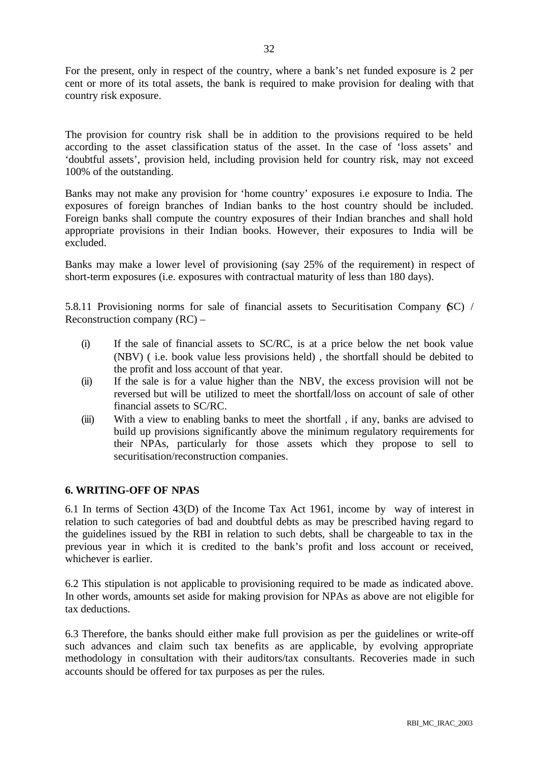For the present, only in respect of the country, where a bank's net funded exposure is 2 per cent or more of its total assets, the bank is required to make provision for dealing with that country risk exposure.

The provision for country risk shall be in addition to the provisions required to be held according to the asset classification status of the asset. In the case of 'loss assets' and 'doubtful assets', provision held, including provision held for country risk, may not exceed 100% of the outstanding.

Banks may not make any provision for 'home country' exposures i.e exposure to India. The exposures of foreign branches of Indian banks to the host country should be included. Foreign banks shall compute the country exposures of their Indian branches and shall hold appropriate provisions in their Indian books. However, their exposures to India will be excluded.

Banks may make a lower level of provisioning (say 25% of the requirement) in respect of short-term exposures (i.e. exposures with contractual maturity of less than 180 days).

5.8.11 Provisioning norms for sale of financial assets to Securitisation Company SC) / Reconstruction company (RC) –

- (i) If the sale of financial assets to SC/RC, is at a price below the net book value (NBV) ( i.e. book value less provisions held) , the shortfall should be debited to the profit and loss account of that year.
- (ii) If the sale is for a value higher than the NBV, the excess provision will not be reversed but will be utilized to meet the shortfall/loss on account of sale of other financial assets to SC/RC.
- (iii) With a view to enabling banks to meet the shortfall , if any, banks are advised to build up provisions significantly above the minimum regulatory requirements for their NPAs, particularly for those assets which they propose to sell to securitisation/reconstruction companies.

## **6. WRITING-OFF OF NPAS**

6.1 In terms of Section 43(D) of the Income Tax Act 1961, income by way of interest in relation to such categories of bad and doubtful debts as may be prescribed having regard to the guidelines issued by the RBI in relation to such debts, shall be chargeable to tax in the previous year in which it is credited to the bank's profit and loss account or received, whichever is earlier.

6.2 This stipulation is not applicable to provisioning required to be made as indicated above. In other words, amounts set aside for making provision for NPAs as above are not eligible for tax deductions.

6.3 Therefore, the banks should either make full provision as per the guidelines or write-off such advances and claim such tax benefits as are applicable, by evolving appropriate methodology in consultation with their auditors/tax consultants. Recoveries made in such accounts should be offered for tax purposes as per the rules.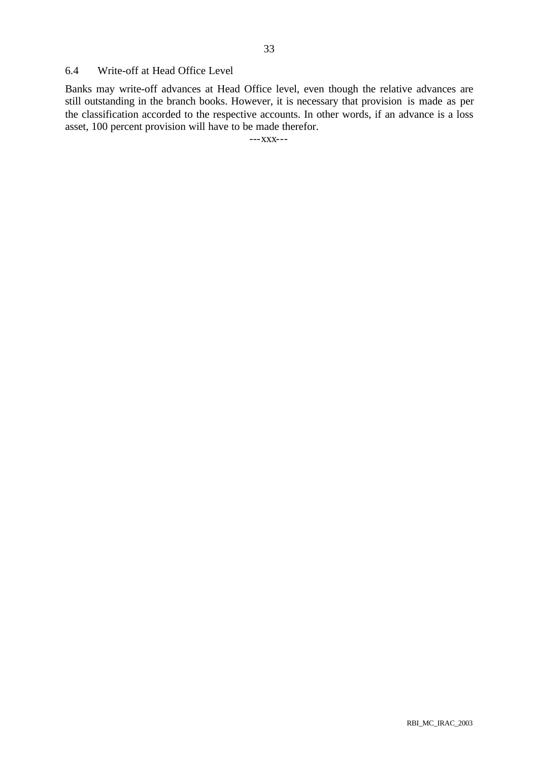#### 6.4 Write-off at Head Office Level

Banks may write-off advances at Head Office level, even though the relative advances are still outstanding in the branch books. However, it is necessary that provision is made as per the classification accorded to the respective accounts. In other words, if an advance is a loss asset, 100 percent provision will have to be made therefor.

---xxx---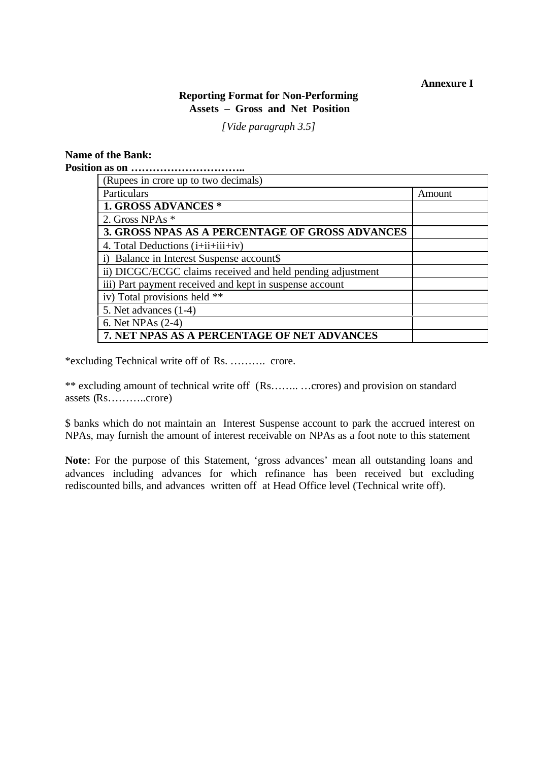### **Annexure I**

## **Reporting Format for Non-Performing Assets – Gross and Net Position**

*[Vide paragraph 3.5]*

## **Name of the Bank:**

**Position as on …………………………..**

| (Rupees in crore up to two decimals)                       |        |
|------------------------------------------------------------|--------|
| Particulars                                                | Amount |
| <b>1. GROSS ADVANCES *</b>                                 |        |
| 2. Gross NPAs *                                            |        |
| 3. GROSS NPAS AS A PERCENTAGE OF GROSS ADVANCES            |        |
| 4. Total Deductions (i+ii+iii+iv)                          |        |
| i) Balance in Interest Suspense account\$                  |        |
| ii) DICGC/ECGC claims received and held pending adjustment |        |
| iii) Part payment received and kept in suspense account    |        |
| iv) Total provisions held **                               |        |
| 5. Net advances (1-4)                                      |        |
| 6. Net NPAs (2-4)                                          |        |
| 7. NET NPAS AS A PERCENTAGE OF NET ADVANCES                |        |

\*excluding Technical write off of Rs. ………. crore.

\*\* excluding amount of technical write off (Rs…….. …crores) and provision on standard assets (Rs………..crore)

\$ banks which do not maintain an Interest Suspense account to park the accrued interest on NPAs, may furnish the amount of interest receivable on NPAs as a foot note to this statement

**Note**: For the purpose of this Statement, 'gross advances' mean all outstanding loans and advances including advances for which refinance has been received but excluding rediscounted bills, and advances written off at Head Office level (Technical write off).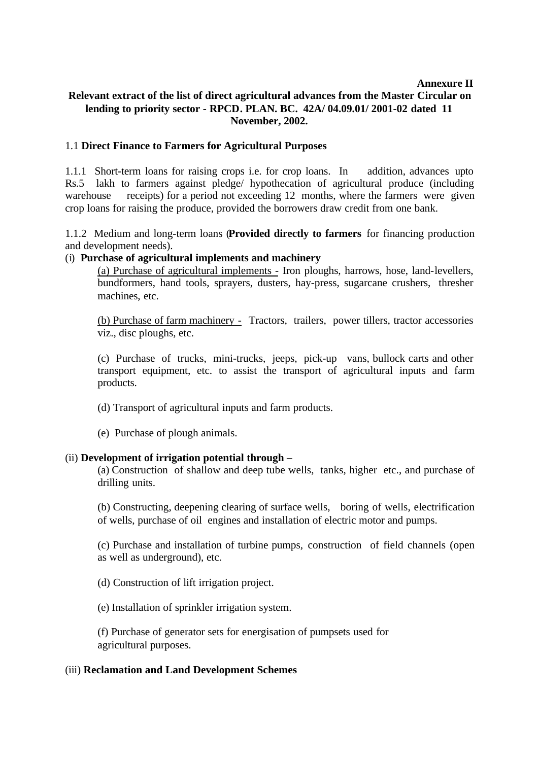## **Annexure II Relevant extract of the list of direct agricultural advances from the Master Circular on lending to priority sector - RPCD. PLAN. BC. 42A/ 04.09.01/ 2001-02 dated 11 November, 2002.**

## 1.1 **Direct Finance to Farmers for Agricultural Purposes**

1.1.1 Short-term loans for raising crops i.e. for crop loans. In addition, advances upto Rs.5 lakh to farmers against pledge/ hypothecation of agricultural produce (including warehouse receipts) for a period not exceeding 12 months, where the farmers were given crop loans for raising the produce, provided the borrowers draw credit from one bank.

1.1.2 Medium and long-term loans (**Provided directly to farmers** for financing production and development needs).

## (i) **Purchase of agricultural implements and machinery**

(a) Purchase of agricultural implements - Iron ploughs, harrows, hose, land-levellers, bundformers, hand tools, sprayers, dusters, hay-press, sugarcane crushers, thresher machines, etc.

(b) Purchase of farm machinery - Tractors, trailers, power tillers, tractor accessories viz., disc ploughs, etc.

(c) Purchase of trucks, mini-trucks, jeeps, pick-up vans, bullock carts and other transport equipment, etc. to assist the transport of agricultural inputs and farm products.

- (d) Transport of agricultural inputs and farm products.
- (e) Purchase of plough animals.

## (ii) **Development of irrigation potential through –**

(a) Construction of shallow and deep tube wells, tanks, higher etc., and purchase of drilling units.

(b) Constructing, deepening clearing of surface wells, boring of wells, electrification of wells, purchase of oil engines and installation of electric motor and pumps.

(c) Purchase and installation of turbine pumps, construction of field channels (open as well as underground), etc.

(d) Construction of lift irrigation project.

(e) Installation of sprinkler irrigation system.

(f) Purchase of generator sets for energisation of pumpsets used for agricultural purposes.

## (iii) **Reclamation and Land Development Schemes**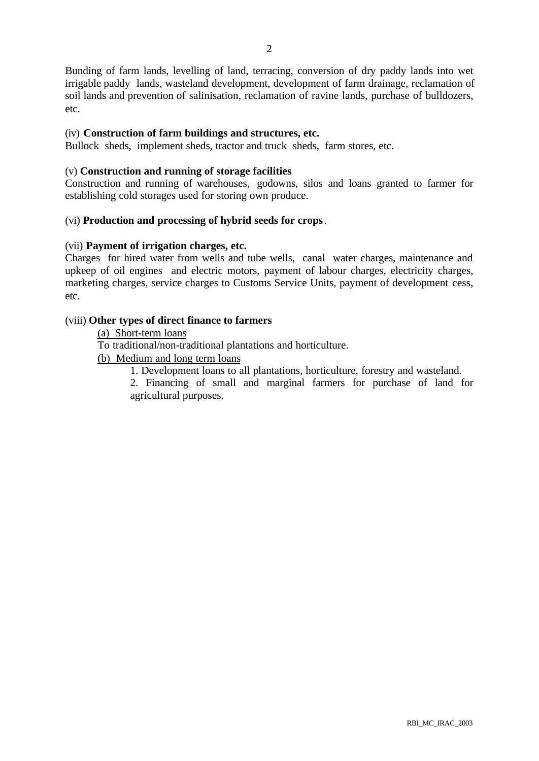Bunding of farm lands, levelling of land, terracing, conversion of dry paddy lands into wet irrigable paddy lands, wasteland development, development of farm drainage, reclamation of soil lands and prevention of salinisation, reclamation of ravine lands, purchase of bulldozers, etc.

## (iv) **Construction of farm buildings and structures, etc.**

Bullock sheds, implement sheds, tractor and truck sheds, farm stores, etc.

## (v) **Construction and running of storage facilities**

Construction and running of warehouses, godowns, silos and loans granted to farmer for establishing cold storages used for storing own produce.

#### (vi) **Production and processing of hybrid seeds for crops**.

#### (vii) **Payment of irrigation charges, etc.**

Charges for hired water from wells and tube wells, canal water charges, maintenance and upkeep of oil engines and electric motors, payment of labour charges, electricity charges, marketing charges, service charges to Customs Service Units, payment of development cess, etc.

#### (viii) **Other types of direct finance to farmers**

(a) Short-term loans

To traditional/non-traditional plantations and horticulture.

(b) Medium and long term loans

1. Development loans to all plantations, horticulture, forestry and wasteland.

2. Financing of small and marginal farmers for purchase of land for agricultural purposes.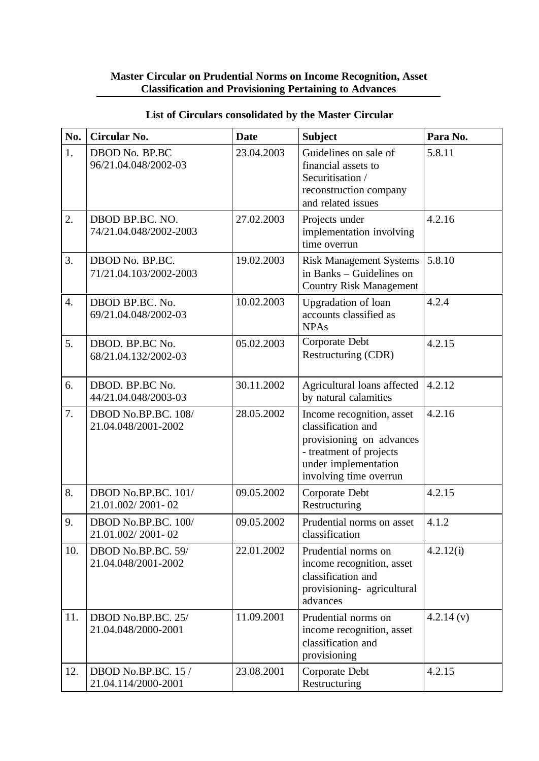# **Master Circular on Prudential Norms on Income Recognition, Asset Classification and Provisioning Pertaining to Advances**

| No.              | <b>Circular No.</b>                        | <b>Date</b> | <b>Subject</b>                                                                                                                                           | Para No.     |
|------------------|--------------------------------------------|-------------|----------------------------------------------------------------------------------------------------------------------------------------------------------|--------------|
| 1.               | DBOD No. BP.BC<br>96/21.04.048/2002-03     | 23.04.2003  | Guidelines on sale of<br>financial assets to<br>Securitisation /<br>reconstruction company<br>and related issues                                         | 5.8.11       |
| 2.               | DBOD BP.BC. NO.<br>74/21.04.048/2002-2003  | 27.02.2003  | Projects under<br>implementation involving<br>time overrun                                                                                               | 4.2.16       |
| 3.               | DBOD No. BP.BC.<br>71/21.04.103/2002-2003  | 19.02.2003  | <b>Risk Management Systems</b><br>in Banks - Guidelines on<br><b>Country Risk Management</b>                                                             | 5.8.10       |
| $\overline{4}$ . | DBOD BP.BC. No.<br>69/21.04.048/2002-03    | 10.02.2003  | Upgradation of loan<br>accounts classified as<br><b>NPAs</b>                                                                                             | 4.2.4        |
| 5.               | DBOD. BP.BC No.<br>68/21.04.132/2002-03    | 05.02.2003  | Corporate Debt<br>Restructuring (CDR)                                                                                                                    | 4.2.15       |
| 6.               | DBOD. BP.BC No.<br>44/21.04.048/2003-03    | 30.11.2002  | Agricultural loans affected<br>by natural calamities                                                                                                     | 4.2.12       |
| 7.               | DBOD No.BP.BC. 108/<br>21.04.048/2001-2002 | 28.05.2002  | Income recognition, asset<br>classification and<br>provisioning on advances<br>- treatment of projects<br>under implementation<br>involving time overrun | 4.2.16       |
| 8.               | DBOD No.BP.BC. 101/<br>21.01.002/2001-02   | 09.05.2002  | Corporate Debt<br>Restructuring                                                                                                                          | 4.2.15       |
| 9.               | DBOD No.BP.BC. 100/<br>21.01.002/2001-02   | 09.05.2002  | Prudential norms on asset<br>classification                                                                                                              | 4.1.2        |
| 10.              | DBOD No.BP.BC. 59/<br>21.04.048/2001-2002  | 22.01.2002  | Prudential norms on<br>income recognition, asset<br>classification and<br>provisioning- agricultural<br>advances                                         | 4.2.12(i)    |
| 11.              | DBOD No.BP.BC. 25/<br>21.04.048/2000-2001  | 11.09.2001  | Prudential norms on<br>income recognition, asset<br>classification and<br>provisioning                                                                   | $4.2.14$ (v) |
| 12.              | DBOD No.BP.BC. 15 /<br>21.04.114/2000-2001 | 23.08.2001  | Corporate Debt<br>Restructuring                                                                                                                          | 4.2.15       |

## **List of Circulars consolidated by the Master Circular**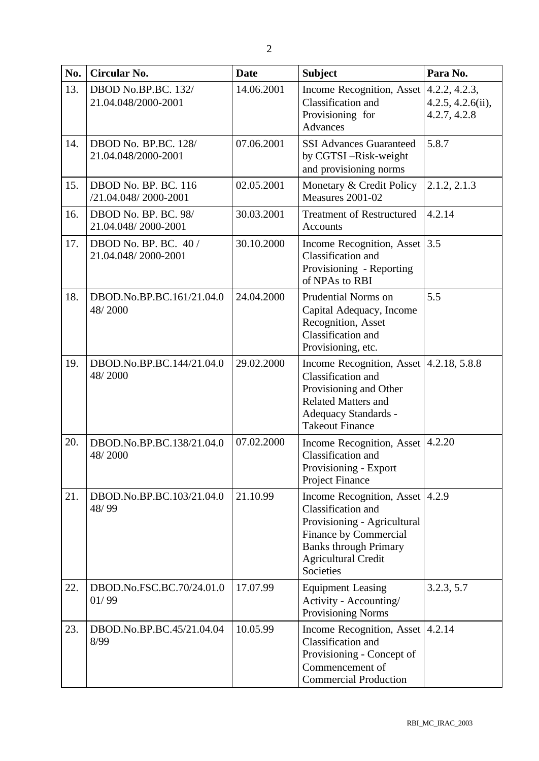| No. | <b>Circular No.</b>                          | <b>Date</b> | <b>Subject</b>                                                                                                                                                                           | Para No.                                              |
|-----|----------------------------------------------|-------------|------------------------------------------------------------------------------------------------------------------------------------------------------------------------------------------|-------------------------------------------------------|
| 13. | DBOD No.BP.BC. 132/<br>21.04.048/2000-2001   | 14.06.2001  | Income Recognition, Asset<br>Classification and<br>Provisioning for<br><b>Advances</b>                                                                                                   | 4.2.2, 4.2.3,<br>$4.2.5, 4.2.6(ii)$ ,<br>4.2.7, 4.2.8 |
| 14. | DBOD No. BP.BC. 128/<br>21.04.048/2000-2001  | 07.06.2001  | <b>SSI Advances Guaranteed</b><br>by CGTSI-Risk-weight<br>and provisioning norms                                                                                                         | 5.8.7                                                 |
| 15. | DBOD No. BP. BC. 116<br>/21.04.048/2000-2001 | 02.05.2001  | Monetary & Credit Policy<br>Measures 2001-02                                                                                                                                             | 2.1.2, 2.1.3                                          |
| 16. | DBOD No. BP. BC. 98/<br>21.04.048/2000-2001  | 30.03.2001  | <b>Treatment of Restructured</b><br><b>Accounts</b>                                                                                                                                      | 4.2.14                                                |
| 17. | DBOD No. BP. BC. 40/<br>21.04.048/2000-2001  | 30.10.2000  | Income Recognition, Asset 3.5<br>Classification and<br>Provisioning - Reporting<br>of NPAs to RBI                                                                                        |                                                       |
| 18. | DBOD.No.BP.BC.161/21.04.0<br>48/2000         | 24.04.2000  | <b>Prudential Norms on</b><br>Capital Adequacy, Income<br>Recognition, Asset<br>Classification and<br>Provisioning, etc.                                                                 | 5.5                                                   |
| 19. | DBOD.No.BP.BC.144/21.04.0<br>48/2000         | 29.02.2000  | Income Recognition, Asset  <br>Classification and<br>Provisioning and Other<br><b>Related Matters and</b><br><b>Adequacy Standards -</b><br><b>Takeout Finance</b>                       | 4.2.18, 5.8.8                                         |
| 20. | DBOD.No.BP.BC.138/21.04.0<br>48/2000         | 07.02.2000  | Income Recognition, Asset<br>Classification and<br>Provisioning - Export<br>Project Finance                                                                                              | 4.2.20                                                |
| 21. | DBOD.No.BP.BC.103/21.04.0<br>48/99           | 21.10.99    | Income Recognition, Asset 4.2.9<br>Classification and<br>Provisioning - Agricultural<br>Finance by Commercial<br><b>Banks through Primary</b><br><b>Agricultural Credit</b><br>Societies |                                                       |
| 22. | DBOD.No.FSC.BC.70/24.01.0<br>01/99           | 17.07.99    | <b>Equipment Leasing</b><br>Activity - Accounting/<br>Provisioning Norms                                                                                                                 | 3.2.3, 5.7                                            |
| 23. | DBOD.No.BP.BC.45/21.04.04<br>8/99            | 10.05.99    | Income Recognition, Asset<br>Classification and<br>Provisioning - Concept of<br>Commencement of<br><b>Commercial Production</b>                                                          | 4.2.14                                                |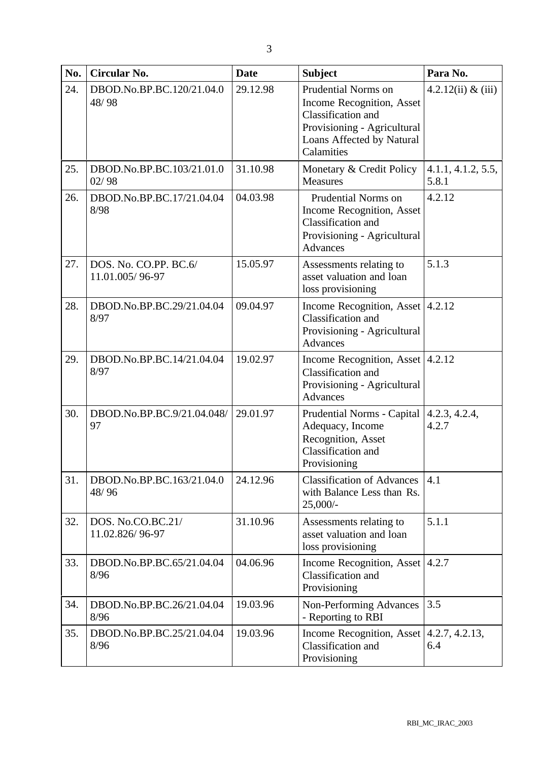| No. | <b>Circular No.</b>                      | <b>Date</b> | <b>Subject</b>                                                                                                                                   | Para No.                    |
|-----|------------------------------------------|-------------|--------------------------------------------------------------------------------------------------------------------------------------------------|-----------------------------|
| 24. | DBOD.No.BP.BC.120/21.04.0<br>48/98       | 29.12.98    | Prudential Norms on<br>Income Recognition, Asset<br>Classification and<br>Provisioning - Agricultural<br>Loans Affected by Natural<br>Calamities | 4.2.12(ii) & (iii)          |
| 25. | DBOD.No.BP.BC.103/21.01.0<br>02/98       | 31.10.98    | Monetary & Credit Policy<br><b>Measures</b>                                                                                                      | 4.1.1, 4.1.2, 5.5,<br>5.8.1 |
| 26. | DBOD.No.BP.BC.17/21.04.04<br>8/98        | 04.03.98    | Prudential Norms on<br>Income Recognition, Asset<br>Classification and<br>Provisioning - Agricultural<br>Advances                                | 4.2.12                      |
| 27. | DOS. No. CO.PP. BC.6/<br>11.01.005/96-97 | 15.05.97    | Assessments relating to<br>asset valuation and loan<br>loss provisioning                                                                         | 5.1.3                       |
| 28. | DBOD.No.BP.BC.29/21.04.04<br>8/97        | 09.04.97    | Income Recognition, Asset 4.2.12<br>Classification and<br>Provisioning - Agricultural<br>Advances                                                |                             |
| 29. | DBOD.No.BP.BC.14/21.04.04<br>8/97        | 19.02.97    | Income Recognition, Asset   4.2.12<br>Classification and<br>Provisioning - Agricultural<br>Advances                                              |                             |
| 30. | DBOD.No.BP.BC.9/21.04.048/<br>97         | 29.01.97    | Prudential Norms - Capital<br>Adequacy, Income<br>Recognition, Asset<br>Classification and<br>Provisioning                                       | 4.2.3, 4.2.4,<br>4.2.7      |
| 31. | DBOD.No.BP.BC.163/21.04.0<br>48/96       | 24.12.96    | <b>Classification of Advances</b><br>with Balance Less than Rs.<br>$25,000/-$                                                                    | 4.1                         |
| 32. | DOS. No.CO.BC.21/<br>11.02.826/96-97     | 31.10.96    | Assessments relating to<br>asset valuation and loan<br>loss provisioning                                                                         | 5.1.1                       |
| 33. | DBOD.No.BP.BC.65/21.04.04<br>8/96        | 04.06.96    | Income Recognition, Asset<br>Classification and<br>Provisioning                                                                                  | 4.2.7                       |
| 34. | DBOD.No.BP.BC.26/21.04.04<br>8/96        | 19.03.96    | <b>Non-Performing Advances</b><br>- Reporting to RBI                                                                                             | 3.5                         |
| 35. | DBOD.No.BP.BC.25/21.04.04<br>8/96        | 19.03.96    | Income Recognition, Asset<br>Classification and<br>Provisioning                                                                                  | 4.2.7, 4.2.13,<br>6.4       |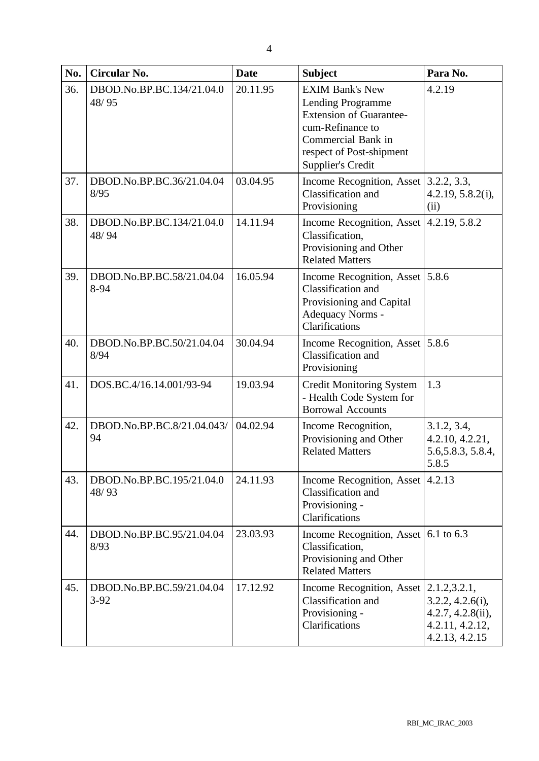| No. | <b>Circular No.</b>                   | <b>Date</b> | <b>Subject</b>                                                                                                                                                                  | Para No.                                                                                          |
|-----|---------------------------------------|-------------|---------------------------------------------------------------------------------------------------------------------------------------------------------------------------------|---------------------------------------------------------------------------------------------------|
| 36. | DBOD.No.BP.BC.134/21.04.0<br>48/95    | 20.11.95    | <b>EXIM Bank's New</b><br>Lending Programme<br><b>Extension of Guarantee-</b><br>cum-Refinance to<br>Commercial Bank in<br>respect of Post-shipment<br><b>Supplier's Credit</b> | 4.2.19                                                                                            |
| 37. | DBOD.No.BP.BC.36/21.04.04<br>8/95     | 03.04.95    | Income Recognition, Asset<br>Classification and<br>Provisioning                                                                                                                 | 3.2.2, 3.3,<br>$4.2.19, 5.8.2(i)$ ,<br>(ii)                                                       |
| 38. | DBOD.No.BP.BC.134/21.04.0<br>48/94    | 14.11.94    | Income Recognition, Asset<br>Classification,<br>Provisioning and Other<br><b>Related Matters</b>                                                                                | 4.2.19, 5.8.2                                                                                     |
| 39. | DBOD.No.BP.BC.58/21.04.04<br>8-94     | 16.05.94    | Income Recognition, Asset<br>Classification and<br>Provisioning and Capital<br>Adequacy Norms -<br>Clarifications                                                               | 5.8.6                                                                                             |
| 40. | DBOD.No.BP.BC.50/21.04.04<br>8/94     | 30.04.94    | Income Recognition, Asset 5.8.6<br>Classification and<br>Provisioning                                                                                                           |                                                                                                   |
| 41. | DOS.BC.4/16.14.001/93-94              | 19.03.94    | <b>Credit Monitoring System</b><br>- Health Code System for<br><b>Borrowal Accounts</b>                                                                                         | 1.3                                                                                               |
| 42. | DBOD.No.BP.BC.8/21.04.043/<br>94      | 04.02.94    | Income Recognition,<br>Provisioning and Other<br><b>Related Matters</b>                                                                                                         | 3.1.2, 3.4,<br>4.2.10, 4.2.21,<br>5.6, 5.8. 3, 5.8. 4,<br>5.8.5                                   |
| 43. | DBOD.No.BP.BC.195/21.04.0<br>48/93    | 24.11.93    | Income Recognition, Asset 4.2.13<br>Classification and<br>Provisioning -<br>Clarifications                                                                                      |                                                                                                   |
| 44. | DBOD.No.BP.BC.95/21.04.04<br>8/93     | 23.03.93    | Income Recognition, Asset 6.1 to 6.3<br>Classification,<br>Provisioning and Other<br><b>Related Matters</b>                                                                     |                                                                                                   |
| 45. | DBOD.No.BP.BC.59/21.04.04<br>$3 - 92$ | 17.12.92    | Income Recognition, Asset<br>Classification and<br>Provisioning -<br>Clarifications                                                                                             | 2.1.2, 3.2.1,<br>$3.2.2, 4.2.6(i)$ ,<br>$4.2.7, 4.2.8(ii)$ ,<br>4.2.11, 4.2.12,<br>4.2.13, 4.2.15 |